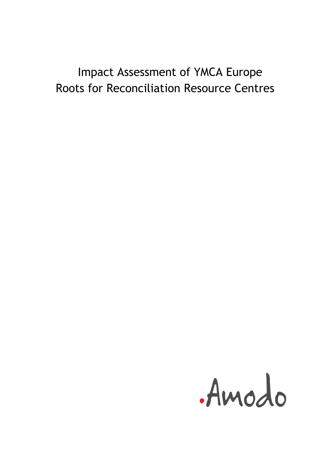# Impact Assessment of YMCA Europe Roots for Reconciliation Resource Centres

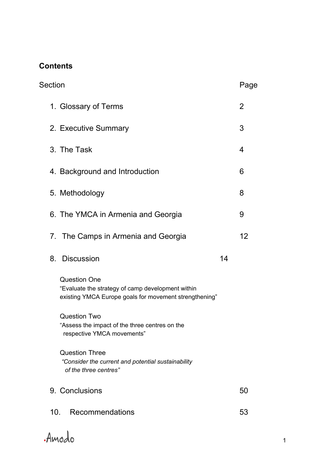## **Contents**

| Section                                                                                                                            | Page           |
|------------------------------------------------------------------------------------------------------------------------------------|----------------|
| 1. Glossary of Terms                                                                                                               | $\overline{2}$ |
| 2. Executive Summary                                                                                                               | 3              |
| 3. The Task                                                                                                                        | 4              |
| 4. Background and Introduction                                                                                                     | 6              |
| 5. Methodology                                                                                                                     | 8              |
| 6. The YMCA in Armenia and Georgia                                                                                                 | 9              |
| 7. The Camps in Armenia and Georgia                                                                                                | 12             |
|                                                                                                                                    |                |
| <b>Discussion</b><br>8.                                                                                                            | 14             |
| <b>Question One</b><br>"Evaluate the strategy of camp development within<br>existing YMCA Europe goals for movement strengthening" |                |
| <b>Question Two</b><br>"Assess the impact of the three centres on the<br>respective YMCA movements"                                |                |
| <b>Question Three</b><br>"Consider the current and potential sustainability<br>of the three centres"                               |                |
| 9. Conclusions                                                                                                                     | 50             |

Amodo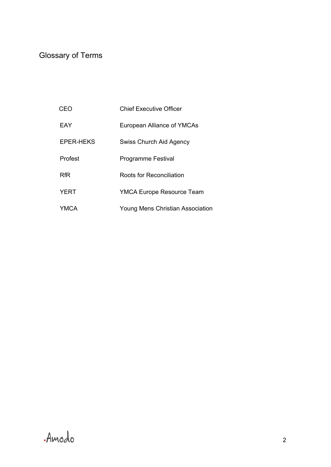## Glossary of Terms

| CFO              | <b>Chief Executive Officer</b>   |
|------------------|----------------------------------|
| EAY              | European Alliance of YMCAs       |
| <b>EPER-HEKS</b> | Swiss Church Aid Agency          |
| Profest          | <b>Programme Festival</b>        |
| <b>RfR</b>       | Roots for Reconciliation         |
| YERT             | <b>YMCA Europe Resource Team</b> |
| YMCA             | Young Mens Christian Association |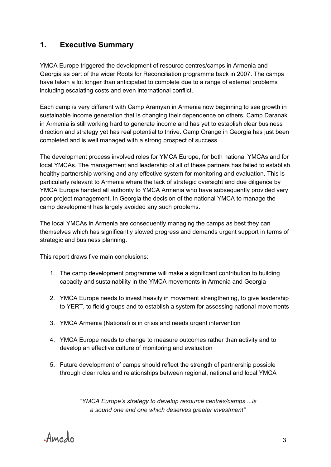## **1. Executive Summary**

YMCA Europe triggered the development of resource centres/camps in Armenia and Georgia as part of the wider Roots for Reconciliation programme back in 2007. The camps have taken a lot longer than anticipated to complete due to a range of external problems including escalating costs and even international conflict.

Each camp is very different with Camp Aramyan in Armenia now beginning to see growth in sustainable income generation that is changing their dependence on others. Camp Daranak in Armenia is still working hard to generate income and has yet to establish clear business direction and strategy yet has real potential to thrive. Camp Orange in Georgia has just been completed and is well managed with a strong prospect of success.

The development process involved roles for YMCA Europe, for both national YMCAs and for local YMCAs. The management and leadership of all of these partners has failed to establish healthy partnership working and any effective system for monitoring and evaluation. This is particularly relevant to Armenia where the lack of strategic oversight and due diligence by YMCA Europe handed all authority to YMCA Armenia who have subsequently provided very poor project management. In Georgia the decision of the national YMCA to manage the camp development has largely avoided any such problems.

The local YMCAs in Armenia are consequently managing the camps as best they can themselves which has significantly slowed progress and demands urgent support in terms of strategic and business planning.

This report draws five main conclusions:

- 1. The camp development programme will make a significant contribution to building capacity and sustainability in the YMCA movements in Armenia and Georgia
- 2. YMCA Europe needs to invest heavily in movement strengthening, to give leadership to YERT, to field groups and to establish a system for assessing national movements
- 3. YMCA Armenia (National) is in crisis and needs urgent intervention
- 4. YMCA Europe needs to change to measure outcomes rather than activity and to develop an effective culture of monitoring and evaluation
- 5. Future development of camps should reflect the strength of partnership possible through clear roles and relationships between regional, national and local YMCA

*"YMCA Europe's strategy to develop resource centres/camps ...is a sound one and one which deserves greater investment"*

Amodo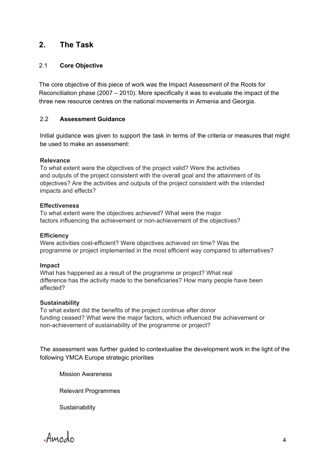## **2. The Task**

#### 2.1 **Core Objective**

The core objective of this piece of work was the Impact Assessment of the Roots for Reconciliation phase (2007 – 2010). More specifically it was to evaluate the impact of the three new resource centres on the national movements in Armenia and Georgia.

#### 2.2 **Assessment Guidance**

Initial guidance was given to support the task in terms of the criteria or measures that might be used to make an assessment:

#### **Relevance**

To what extent were the objectives of the project valid? Were the activities and outputs of the project consistent with the overall goal and the attainment of its objectives? Are the activities and outputs of the project consistent with the intended impacts and effects?

#### **Effectiveness**

To what extent were the objectives achieved? What were the major factors influencing the achievement or non-achievement of the objectives?

#### **Efficiency**

Were activities cost-efficient? Were objectives achieved on time? Was the programme or project implemented in the most efficient way compared to alternatives?

#### **Impact**

What has happened as a result of the programme or project? What real difference has the activity made to the beneficiaries? How many people have been affected?

#### **Sustainability**

To what extent did the benefits of the project continue after donor funding ceased? What were the major factors, which influenced the achievement or non-achievement of sustainability of the programme or project?

The assessment was further guided to contextualise the development work in the light of the following YMCA Europe strategic priorities

Mission Awareness

Relevant Programmes

**Sustainability** 

Amodo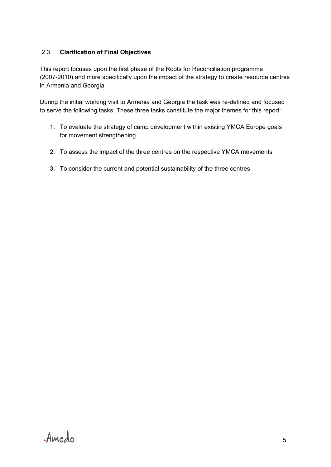#### 2.3 **Clarification of Final Objectives**

This report focuses upon the first phase of the Roots for Reconciliation programme (2007-2010) and more specifically upon the impact of the strategy to create resource centres in Armenia and Georgia.

During the initial working visit to Armenia and Georgia the task was re-defined and focused to serve the following tasks. These three tasks constitute the major themes for this report:

- 1. To evaluate the strategy of camp development within existing YMCA Europe goals for movement strengthening
- 2. To assess the impact of the three centres on the respective YMCA movements
- 3. To consider the current and potential sustainability of the three centres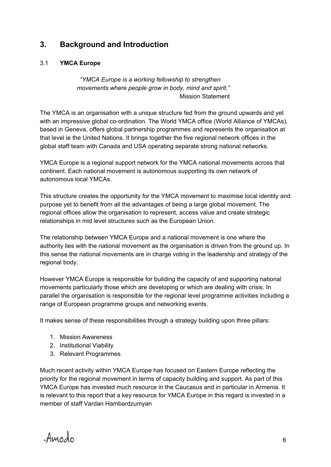## **3. Background and Introduction**

#### 3.1 **YMCA Europe**

*"YMCA Europe is a working fellowship to strengthen movements where people grow in body, mind and spirit."* Mission Statement

The YMCA is an organisation with a unique structure fed from the ground upwards and yet with an impressive global co-ordination. The World YMCA office (World Alliance of YMCAs), based in Geneva, offers global partnership programmes and represents the organisation at that level ie the United Nations. It brings together the five regional network offices in the global staff team with Canada and USA operating separate strong national networks.

YMCA Europe is a regional support network for the YMCA national movements across that continent. Each national movement is autonomous supporting its own network of autonomous local YMCAs.

This structure creates the opportunity for the YMCA movement to maximise local identity and purpose yet to benefit from all the advantages of being a large global movement. The regional offices allow the organisation to represent, access value and create strategic relationships in mid level structures such as the European Union.

The relationship between YMCA Europe and a national movement is one where the authority lies with the national movement as the organisation is driven from the ground up. In this sense the national movements are in charge voting in the leadership and strategy of the regional body.

However YMCA Europe is responsible for building the capacity of and supporting national movements particularly those which are developing or which are dealing with crisis. In parallel the organisation is responsible for the regional level programme activities including a range of European programme groups and networking events.

It makes sense of these responsibilities through a strategy building upon three pillars:

- 1. Mission Awareness
- 2. Institutional Viability
- 3. Relevant Programmes

Much recent activity within YMCA Europe has focused on Eastern Europe reflecting the priority for the regional movement in terms of capacity building and support. As part of this YMCA Europe has invested much resource in the Caucasus and in particular in Armenia. It is relevant to this report that a key resource for YMCA Europe in this regard is invested in a member of staff Vardan Hambardzumyan

Amodo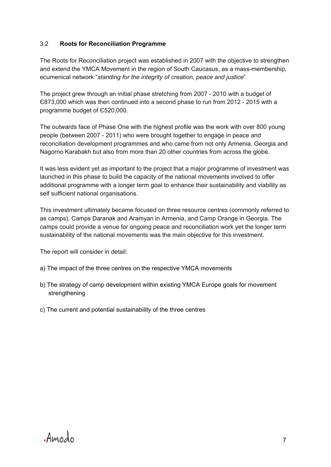#### 3.2 **Roots for Reconciliation Programme**

The Roots for Reconciliation project was established in 2007 with the objective to strengthen and extend the YMCA Movement in the region of South Caucasus, as a mass-membership, ecumenical network "*standing for the integrity of creation, peace and justice*".

The project grew through an initial phase stretching from 2007 - 2010 with a budget of  $E$ 873,000 which was then continued into a second phase to run from 2012 - 2015 with a programme budget of Є520,000.

The outwards face of Phase One with the highest profile was the work with over 800 young people (between 2007 2011) who were brought together to engage in peace and reconciliation development programmes and who came from not only Armenia, Georgia and Nagorno Karabakh but also from more than 20 other countries from across the globe.

It was less evident yet as important to the project that a major programme of investment was launched in this phase to build the capacity of the national movements involved to offer additional programme with a longer term goal to enhance their sustainability and viability as self sufficient national organisations.

This investment ultimately became focused on three resource centres (commonly referred to as camps), Camps Daranak and Aramyan in Armenia, and Camp Orange in Georgia. The camps could provide a venue for ongoing peace and reconciliation work yet the longer term sustainability of the national movements was the main objective for this investment.

The report will consider in detail:

- a) The impact of the three centres on the respective YMCA movements
- b) The strategy of camp development within existing YMCA Europe goals for movement strengthening
- c) The current and potential sustainability of the three centres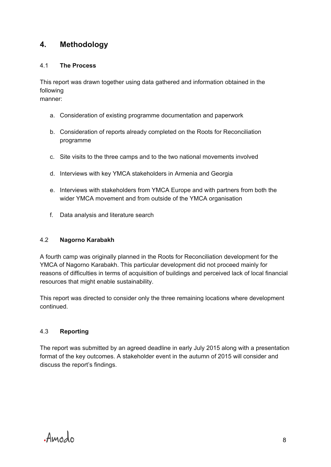## **4. Methodology**

#### 4.1 **The Process**

This report was drawn together using data gathered and information obtained in the following manner:

a. Consideration of existing programme documentation and paperwork

- b. Consideration of reports already completed on the Roots for Reconciliation programme
- c. Site visits to the three camps and to the two national movements involved
- d. Interviews with key YMCA stakeholders in Armenia and Georgia
- e. Interviews with stakeholders from YMCA Europe and with partners from both the wider YMCA movement and from outside of the YMCA organisation
- f. Data analysis and literature search

#### 4.2 **Nagorno Karabakh**

A fourth camp was originally planned in the Roots for Reconciliation development for the YMCA of Nagorno Karabakh. This particular development did not proceed mainly for reasons of difficulties in terms of acquisition of buildings and perceived lack of local financial resources that might enable sustainability.

This report was directed to consider only the three remaining locations where development continued.

#### 4.3 **Reporting**

The report was submitted by an agreed deadline in early July 2015 along with a presentation format of the key outcomes. A stakeholder event in the autumn of 2015 will consider and discuss the report's findings.

Amodo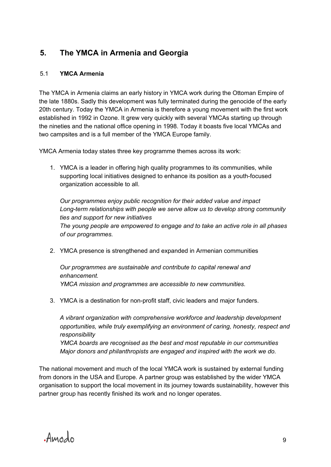## **5. The YMCA in Armenia and Georgia**

#### 5.1 **YMCA Armenia**

The YMCA in Armenia claims an early history in YMCA work during the Ottoman Empire of the late 1880s. Sadly this development was fully terminated during the genocide of the early 20th century. Today the YMCA in Armenia is therefore a young movement with the first work established in 1992 in Ozone. It grew very quickly with several YMCAs starting up through the nineties and the national office opening in 1998. Today it boasts five local YMCAs and two campsites and is a full member of the YMCA Europe family.

YMCA Armenia today states three key programme themes across its work:

1. YMCA is a leader in offering high quality programmes to its communities, while supporting local initiatives designed to enhance its position as a youth-focused organization accessible to all.

*Our programmes enjoy public recognition for their added value and impact Long-term relationships with people we serve allow us to develop strong community ties and support for new initiatives The young people are empowered to engage and to take an active role in all phases of our programmes.*

2. YMCA presence is strengthened and expanded in Armenian communities

*Our programmes are sustainable and contribute to capital renewal and enhancement. YMCA mission and programmes are accessible to new communities.*

3. YMCA is a destination for non-profit staff, civic leaders and major funders.

*A vibrant organization with comprehensive workforce and leadership development opportunities, while truly exemplifying an environment of caring, honesty, respect and responsibility YMCA boards are recognised as the best and most reputable in our communities Major donors and philanthropists are engaged and inspired with the work we do.*

The national movement and much of the local YMCA work is sustained by external funding from donors in the USA and Europe. A partner group was established by the wider YMCA organisation to support the local movement in its journey towards sustainability, however this partner group has recently finished its work and no longer operates.

Amodo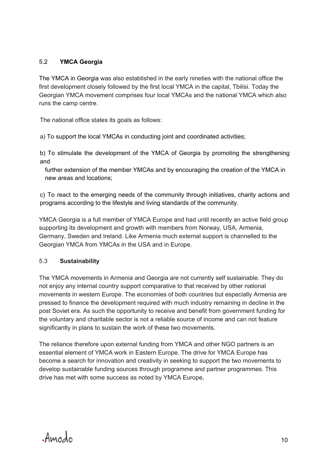#### 5.2 **YMCA Georgia**

The YMCA in Georgia was also established in the early nineties with the national office the first development closely followed by the first local YMCA in the capital, Tbilisi. Today the Georgian YMCA movement comprises four local YMCAs and the national YMCA which also runs the camp centre.

The national office states its goals as follows:

a) To support the local YMCAs in conducting joint and coordinated activities;

b) To stimulate the development of the YMCA of Georgia by promoting the strengthening and

 further extension of the member YMCAs and by encouraging the creation of the YMCA in new areas and locations;

c) To react to the emerging needs of the community through initiatives, charity actions and programs according to the lifestyle and living standards of the community.

YMCA Georgia is a full member of YMCA Europe and had until recently an active field group supporting its development and growth with members from Norway, USA, Armenia, Germany, Sweden and Ireland. Like Armenia much external support is channelled to the Georgian YMCA from YMCAs in the USA and in Europe.

#### 5.3 **Sustainability**

The YMCA movements in Armenia and Georgia are not currently self sustainable. They do not enjoy any internal country support comparative to that received by other national movements in western Europe. The economies of both countries but especially Armenia are pressed to finance the development required with much industry remaining in decline in the post Soviet era. As such the opportunity to receive and benefit from government funding for the voluntary and charitable sector is not a reliable source of income and can not feature significantly in plans to sustain the work of these two movements.

The reliance therefore upon external funding from YMCA and other NGO partners is an essential element of YMCA work in Eastern Europe. The drive for YMCA Europe has become a search for innovation and creativity in seeking to support the two movements to develop sustainable funding sources through programme and partner programmes. This drive has met with some success as noted by YMCA Europe,

Amodo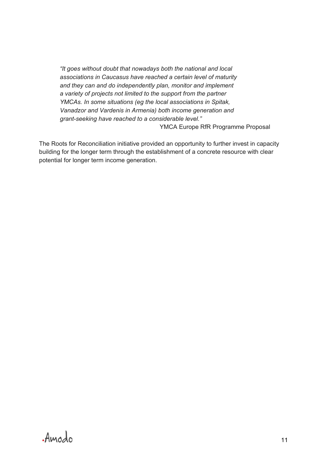*"It goes without doubt that nowadays both the national and local associations in Caucasus have reached a certain level of maturity and they can and do independently plan, monitor and implement a variety of projects not limited to the support from the partner YMCAs. In some situations (eg the local associations in Spitak, Vanadzor and Vardenis in Armenia) both income generation and grant-seeking have reached to a considerable level."* YMCA Europe RfR Programme Proposal

The Roots for Reconciliation initiative provided an opportunity to further invest in capacity building for the longer term through the establishment of a concrete resource with clear potential for longer term income generation.

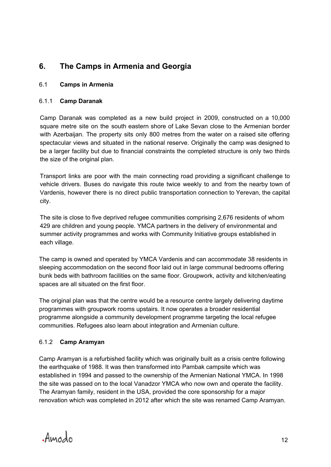## **6. The Camps in Armenia and Georgia**

#### 6.1 **Camps in Armenia**

#### 6.1.1 **Camp Daranak**

Camp Daranak was completed as a new build project in 2009, constructed on a 10,000 square metre site on the south eastern shore of Lake Sevan close to the Armenian border with Azerbaijan. The property sits only 800 metres from the water on a raised site offering spectacular views and situated in the national reserve. Originally the camp was designed to be a larger facility but due to financial constraints the completed structure is only two thirds the size of the original plan.

Transport links are poor with the main connecting road providing a significant challenge to vehicle drivers. Buses do navigate this route twice weekly to and from the nearby town of Vardenis, however there is no direct public transportation connection to Yerevan, the capital city.

The site is close to five deprived refugee communities comprising 2,676 residents of whom 429 are children and young people. YMCA partners in the delivery of environmental and summer activity programmes and works with Community Initiative groups established in each village.

The camp is owned and operated by YMCA Vardenis and can accommodate 38 residents in sleeping accommodation on the second floor laid out in large communal bedrooms offering bunk beds with bathroom facilities on the same floor. Groupwork, activity and kitchen/eating spaces are all situated on the first floor.

The original plan was that the centre would be a resource centre largely delivering daytime programmes with groupwork rooms upstairs. It now operates a broader residential programme alongside a community development programme targeting the local refugee communities. Refugees also learn about integration and Armenian culture.

#### 6.1.2 **Camp Aramyan**

Camp Aramyan is a refurbished facility which was originally built as a crisis centre following the earthquake of 1988. It was then transformed into Pambak campsite which was established in 1994 and passed to the ownership of the Armenian National YMCA. In 1998 the site was passed on to the local Vanadzor YMCA who now own and operate the facility. The Aramyan family, resident in the USA, provided the core sponsorship for a major renovation which was completed in 2012 after which the site was renamed Camp Aramyan.

Amodo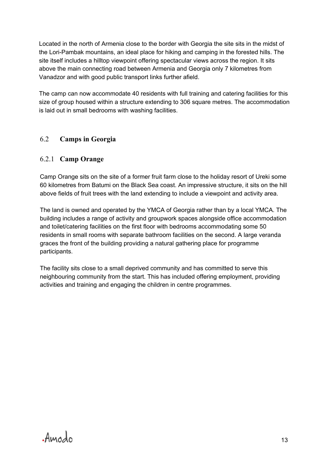Located in the north of Armenia close to the border with Georgia the site sits in the midst of the Lori-Pambak mountains, an ideal place for hiking and camping in the forested hills. The site itself includes a hilltop viewpoint offering spectacular views across the region. It sits above the main connecting road between Armenia and Georgia only 7 kilometres from Vanadzor and with good public transport links further afield.

The camp can now accommodate 40 residents with full training and catering facilities for this size of group housed within a structure extending to 306 square metres. The accommodation is laid out in small bedrooms with washing facilities.

### 6.2 **Camps in Georgia**

#### 6.2.1 **Camp Orange**

Camp Orange sits on the site of a former fruit farm close to the holiday resort of Ureki some 60 kilometres from Batumi on the Black Sea coast. An impressive structure, it sits on the hill above fields of fruit trees with the land extending to include a viewpoint and activity area.

The land is owned and operated by the YMCA of Georgia rather than by a local YMCA. The building includes a range of activity and groupwork spaces alongside office accommodation and toilet/catering facilities on the first floor with bedrooms accommodating some 50 residents in small rooms with separate bathroom facilities on the second. A large veranda graces the front of the building providing a natural gathering place for programme participants.

The facility sits close to a small deprived community and has committed to serve this neighbouring community from the start. This has included offering employment, providing activities and training and engaging the children in centre programmes.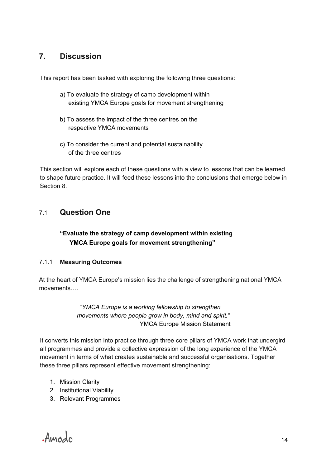## **7. Discussion**

This report has been tasked with exploring the following three questions:

- a) To evaluate the strategy of camp development within existing YMCA Europe goals for movement strengthening
- b) To assess the impact of the three centres on the respective YMCA movements
- c) To consider the current and potential sustainability of the three centres

This section will explore each of these questions with a view to lessons that can be learned to shape future practice. It will feed these lessons into the conclusions that emerge below in Section 8.

## 7.1 **Question One**

### **"Evaluate the strategy of camp development within existing YMCA Europe goals for movement strengthening"**

#### 7.1.1 **Measuring Outcomes**

At the heart of YMCA Europe's mission lies the challenge of strengthening national YMCA movements….

> *"YMCA Europe is a working fellowship to strengthen movements where people grow in body, mind and spirit."* YMCA Europe Mission Statement

It converts this mission into practice through three core pillars of YMCA work that undergird all programmes and provide a collective expression of the long experience of the YMCA movement in terms of what creates sustainable and successful organisations. Together these three pillars represent effective movement strengthening:

- 1. Mission Clarity
- 2. Institutional Viability
- 3. Relevant Programmes

Amodo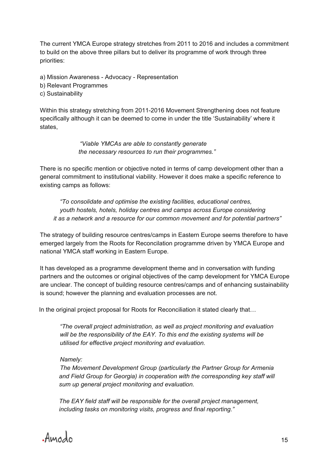The current YMCA Europe strategy stretches from 2011 to 2016 and includes a commitment to build on the above three pillars but to deliver its programme of work through three priorities:

a) Mission Awareness - Advocacy - Representation

- b) Relevant Programmes
- c) Sustainability

Within this strategy stretching from 2011-2016 Movement Strengthening does not feature specifically although it can be deemed to come in under the title 'Sustainability' where it states,

> *"Viable YMCAs are able to constantly generate the necessary resources to run their programmes."*

There is no specific mention or objective noted in terms of camp development other than a general commitment to institutional viability. However it does make a specific reference to existing camps as follows:

*"To consolidate and optimise the existing facilities, educational centres, youth hostels, hotels, holiday centres and camps across Europe considering it as a network and a resource for our common movement and for potential partners"*

The strategy of building resource centres/camps in Eastern Europe seems therefore to have emerged largely from the Roots for Reconcilation programme driven by YMCA Europe and national YMCA staff working in Eastern Europe.

It has developed as a programme development theme and in conversation with funding partners and the outcomes or original objectives of the camp development for YMCA Europe are unclear. The concept of building resource centres/camps and of enhancing sustainability is sound; however the planning and evaluation processes are not.

In the original project proposal for Roots for Reconciliation it stated clearly that...

*"The overall project administration, as well as project monitoring and evaluation will be the responsibility of the EAY. To this end the existing systems will be utilised for effective project monitoring and evaluation.* 

*Namely:*

*The Movement Development Group (particularly the Partner Group for Armenia and Field Group for Georgia) in cooperation with the corresponding key staff will sum up general project monitoring and evaluation.*

*The EAY field staff will be responsible for the overall project management, including tasks on monitoring visits, progress and final reporting."* 

Amodo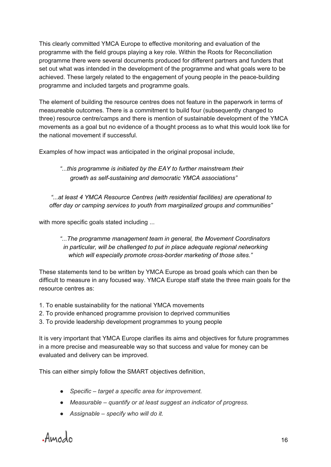This clearly committed YMCA Europe to effective monitoring and evaluation of the programme with the field groups playing a key role. Within the Roots for Reconciliation programme there were several documents produced for different partners and funders that set out what was intended in the development of the programme and what goals were to be achieved. These largely related to the engagement of young people in the peace-building programme and included targets and programme goals.

The element of building the resource centres does not feature in the paperwork in terms of measureable outcomes. There is a commitment to build four (subsequently changed to three) resource centre/camps and there is mention of sustainable development of the YMCA movements as a goal but no evidence of a thought process as to what this would look like for the national movement if successful.

Examples of how impact was anticipated in the original proposal include,

*"...this programme is initiated by the EAY to further mainstream their growth as self-sustaining and democratic YMCA associations"*

 *"...at least 4 YMCA Resource Centres (with residential facilities) are operational to offer day or camping services to youth from marginalized groups and communities"*

with more specific goals stated including ...

#### *"...The programme management team in general, the Movement Coordinators in particular, will be challenged to put in place adequate regional networking which will especially promote cross-border marketing of those sites."*

These statements tend to be written by YMCA Europe as broad goals which can then be difficult to measure in any focused way. YMCA Europe staff state the three main goals for the resource centres as:

- 1. To enable sustainability for the national YMCA movements
- 2. To provide enhanced programme provision to deprived communities
- 3. To provide leadership development programmes to young people

It is very important that YMCA Europe clarifies its aims and objectives for future programmes in a more precise and measureable way so that success and value for money can be evaluated and delivery can be improved.

This can either simply follow the SMART objectives definition,

- *Specific – target a specific area for improvement.*
- *Measurable – quantify or at least suggest an indicator of progress.*
- *Assignable – specify who will do it.*

Amodo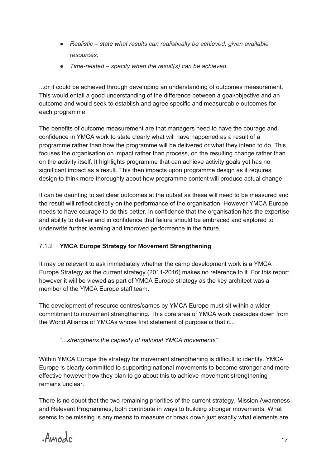- *Realistic – state what results can realistically be achieved, given available resources.*
- *Time-related – specify when the result(s) can be achieved.*

...or it could be achieved through developing an understanding of outcomes measurement. This would entail a good understanding of the difference between a goal/objective and an outcome and would seek to establish and agree specific and measureable outcomes for each programme.

The benefits of outcome measurement are that managers need to have the courage and confidence in YMCA work to state clearly what will have happened as a result of a programme rather than how the programme will be delivered or what they intend to do. This focuses the organisation on impact rather than process, on the resulting change rather than on the activity itself. It highlights programme that can achieve activity goals yet has no significant impact as a result. This then impacts upon programme design as it requires design to think more thoroughly about how programme content will produce actual change.

It can be daunting to set clear outcomes at the outset as these will need to be measured and the result will reflect directly on the performance of the organisation. However YMCA Europe needs to have courage to do this better, in confidence that the organisation has the expertise and ability to deliver and in confidence that failure should be embraced and explored to underwrite further learning and improved performance in the future.

#### 7.1.2 **YMCA Europe Strategy for Movement Strengthening**

It may be relevant to ask immediately whether the camp development work is a YMCA Europe Strategy as the current strategy (2011-2016) makes no reference to it. For this report however it will be viewed as part of YMCA Europe strategy as the key architect was a member of the YMCA Europe staff team.

The development of resource centres/camps by YMCA Europe must sit within a wider commitment to movement strengthening. This core area of YMCA work cascades down from the World Alliance of YMCAs whose first statement of purpose is that it...

#### *"...strengthens the capacity of national YMCA movements"*

Within YMCA Europe the strategy for movement strengthening is difficult to identify. YMCA Europe is clearly committed to supporting national movements to become stronger and more effective however how they plan to go about this to achieve movement strengthening remains unclear.

There is no doubt that the two remaining priorities of the current strategy, Mission Awareness and Relevant Programmes, both contribute in ways to building stronger movements. What seems to be missing is any means to measure or break down just exactly what elements are

Amodo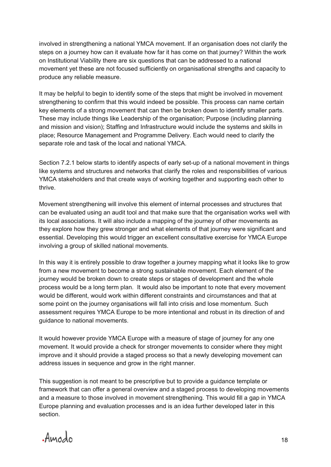involved in strengthening a national YMCA movement. If an organisation does not clarify the steps on a journey how can it evaluate how far it has come on that journey? Within the work on Institutional Viability there are six questions that can be addressed to a national movement yet these are not focused sufficiently on organisational strengths and capacity to produce any reliable measure.

It may be helpful to begin to identify some of the steps that might be involved in movement strengthening to confirm that this would indeed be possible. This process can name certain key elements of a strong movement that can then be broken down to identify smaller parts. These may include things like Leadership of the organisation; Purpose (including planning and mission and vision); Staffing and Infrastructure would include the systems and skills in place; Resource Management and Programme Delivery. Each would need to clarify the separate role and task of the local and national YMCA.

Section 7.2.1 below starts to identify aspects of early set-up of a national movement in things like systems and structures and networks that clarify the roles and responsibilities of various YMCA stakeholders and that create ways of working together and supporting each other to thrive.

Movement strengthening will involve this element of internal processes and structures that can be evaluated using an audit tool and that make sure that the organisation works well with its local associations. It will also include a mapping of the journey of other movements as they explore how they grew stronger and what elements of that journey were significant and essential. Developing this would trigger an excellent consultative exercise for YMCA Europe involving a group of skilled national movements.

In this way it is entirely possible to draw together a journey mapping what it looks like to grow from a new movement to become a strong sustainable movement. Each element of the journey would be broken down to create steps or stages of development and the whole process would be a long term plan. It would also be important to note that every movement would be different, would work within different constraints and circumstances and that at some point on the journey organisations will fall into crisis and lose momentum. Such assessment requires YMCA Europe to be more intentional and robust in its direction of and guidance to national movements.

It would however provide YMCA Europe with a measure of stage of journey for any one movement. It would provide a check for stronger movements to consider where they might improve and it should provide a staged process so that a newly developing movement can address issues in sequence and grow in the right manner.

This suggestion is not meant to be prescriptive but to provide a guidance template or framework that can offer a general overview and a staged process to developing movements and a measure to those involved in movement strengthening. This would fill a gap in YMCA Europe planning and evaluation processes and is an idea further developed later in this section.

Amodo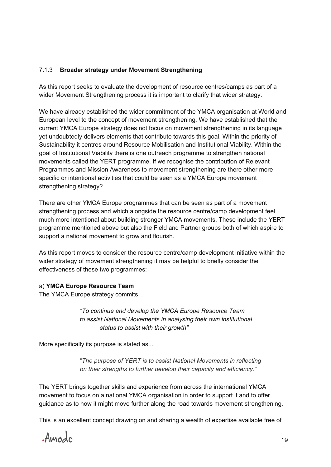#### 7.1.3 **Broader strategy under Movement Strengthening**

As this report seeks to evaluate the development of resource centres/camps as part of a wider Movement Strengthening process it is important to clarify that wider strategy.

We have already established the wider commitment of the YMCA organisation at World and European level to the concept of movement strengthening. We have established that the current YMCA Europe strategy does not focus on movement strengthening in its language yet undoubtedly delivers elements that contribute towards this goal. Within the priority of Sustainability it centres around Resource Mobilisation and Institutional Viability. Within the goal of Institutional Viability there is one outreach programme to strengthen national movements called the YERT programme. If we recognise the contribution of Relevant Programmes and Mission Awareness to movement strengthening are there other more specific or intentional activities that could be seen as a YMCA Europe movement strengthening strategy?

There are other YMCA Europe programmes that can be seen as part of a movement strengthening process and which alongside the resource centre/camp development feel much more intentional about building stronger YMCA movements. These include the YERT programme mentioned above but also the Field and Partner groups both of which aspire to support a national movement to grow and flourish.

As this report moves to consider the resource centre/camp development initiative within the wider strategy of movement strengthening it may be helpful to briefly consider the effectiveness of these two programmes:

#### a) **YMCA Europe Resource Team**

The YMCA Europe strategy commits…

 *"To continue and develop the YMCA Europe Resource Team to assist National Movements in analysing their own institutional status to assist with their growth"*

More specifically its purpose is stated as...

"*The purpose of YERT is to assist National Movements in reflecting on their strengths to further develop their capacity and efficiency."*

The YERT brings together skills and experience from across the international YMCA movement to focus on a national YMCA organisation in order to support it and to offer guidance as to how it might move further along the road towards movement strengthening.

This is an excellent concept drawing on and sharing a wealth of expertise available free of

Amodo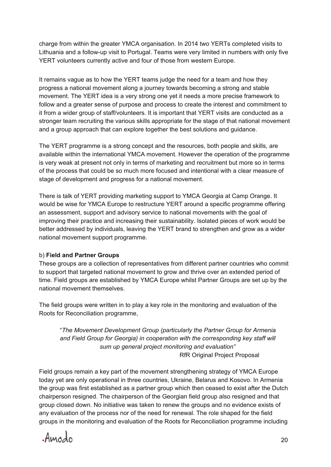charge from within the greater YMCA organisation. In 2014 two YERTs completed visits to Lithuania and a follow-up visit to Portugal. Teams were very limited in numbers with only five YERT volunteers currently active and four of those from western Europe.

It remains vague as to how the YERT teams judge the need for a team and how they progress a national movement along a journey towards becoming a strong and stable movement. The YERT idea is a very strong one yet it needs a more precise framework to follow and a greater sense of purpose and process to create the interest and commitment to it from a wider group of staff/volunteers. It is important that YERT visits are conducted as a stronger team recruiting the various skills appropriate for the stage of that national movement and a group approach that can explore together the best solutions and guidance.

The YERT programme is a strong concept and the resources, both people and skills, are available within the international YMCA movement. However the operation of the programme is very weak at present not only in terms of marketing and recruitment but more so in terms of the process that could be so much more focused and intentional with a clear measure of stage of development and progress for a national movement.

There is talk of YERT providing marketing support to YMCA Georgia at Camp Orange. It would be wise for YMCA Europe to restructure YERT around a specific programme offering an assessment, support and advisory service to national movements with the goal of improving their practice and increasing their sustainability. Isolated pieces of work would be better addressed by individuals, leaving the YERT brand to strengthen and grow as a wider national movement support programme.

#### b) **Field and Partner Groups**

These groups are a collection of representatives from different partner countries who commit to support that targeted national movement to grow and thrive over an extended period of time. Field groups are established by YMCA Europe whilst Partner Groups are set up by the national movement themselves.

The field groups were written in to play a key role in the monitoring and evaluation of the Roots for Reconciliation programme,

 "*The Movement Development Group (particularly the Partner Group for Armenia and Field Group for Georgia) in cooperation with the corresponding key staff will sum up general project monitoring and evaluation"* RfR Original Project Proposal

Field groups remain a key part of the movement strengthening strategy of YMCA Europe today yet are only operational in three countries, Ukraine, Belarus and Kosovo. In Armenia the group was first established as a partner group which then ceased to exist after the Dutch chairperson resigned. The chairperson of the Georgian field group also resigned and that group closed down. No initiative was taken to renew the groups and no evidence exists of any evaluation of the process nor of the need for renewal. The role shaped for the field groups in the monitoring and evaluation of the Roots for Reconciliation programme including

Amodo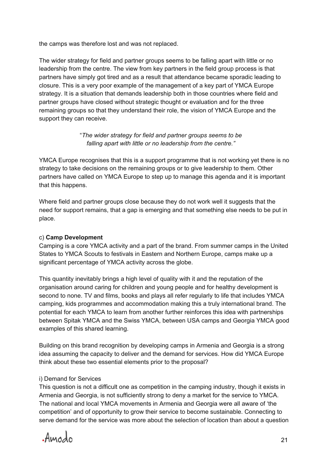the camps was therefore lost and was not replaced.

The wider strategy for field and partner groups seems to be falling apart with little or no leadership from the centre. The view from key partners in the field group process is that partners have simply got tired and as a result that attendance became sporadic leading to closure. This is a very poor example of the management of a key part of YMCA Europe strategy. It is a situation that demands leadership both in those countries where field and partner groups have closed without strategic thought or evaluation and for the three remaining groups so that they understand their role, the vision of YMCA Europe and the support they can receive.

#### "*The wider strategy for field and partner groups seems to be falling apart with little or no leadership from the centre."*

YMCA Europe recognises that this is a support programme that is not working yet there is no strategy to take decisions on the remaining groups or to give leadership to them. Other partners have called on YMCA Europe to step up to manage this agenda and it is important that this happens.

Where field and partner groups close because they do not work well it suggests that the need for support remains, that a gap is emerging and that something else needs to be put in place.

#### c) **Camp Development**

Camping is a core YMCA activity and a part of the brand. From summer camps in the United States to YMCA Scouts to festivals in Eastern and Northern Europe, camps make up a significant percentage of YMCA activity across the globe.

This quantity inevitably brings a high level of quality with it and the reputation of the organisation around caring for children and young people and for healthy development is second to none. TV and films, books and plays all refer regularly to life that includes YMCA camping, kids programmes and accommodation making this a truly international brand. The potential for each YMCA to learn from another further reinforces this idea with partnerships between Spitak YMCA and the Swiss YMCA, between USA camps and Georgia YMCA good examples of this shared learning.

Building on this brand recognition by developing camps in Armenia and Georgia is a strong idea assuming the capacity to deliver and the demand for services. How did YMCA Europe think about these two essential elements prior to the proposal?

#### i) Demand for Services

This question is not a difficult one as competition in the camping industry, though it exists in Armenia and Georgia, is not sufficiently strong to deny a market for the service to YMCA. The national and local YMCA movements in Armenia and Georgia were all aware of 'the competition' and of opportunity to grow their service to become sustainable. Connecting to serve demand for the service was more about the selection of location than about a question

Amodo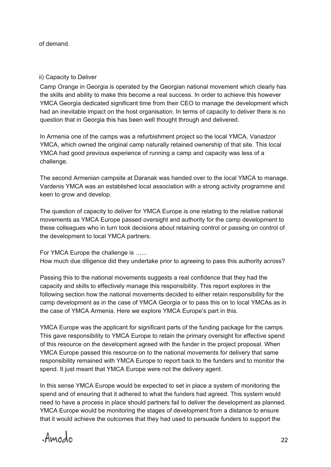of demand.

#### ii) Capacity to Deliver

Camp Orange in Georgia is operated by the Georgian national movement which clearly has the skills and ability to make this become a real success. In order to achieve this however YMCA Georgia dedicated significant time from their CEO to manage the development which had an inevitable impact on the host organisation. In terms of capacity to deliver there is no question that in Georgia this has been well thought through and delivered.

In Armenia one of the camps was a refurbishment project so the local YMCA, Vanadzor YMCA, which owned the original camp naturally retained ownership of that site. This local YMCA had good previous experience of running a camp and capacity was less of a challenge.

The second Armenian campsite at Daranak was handed over to the local YMCA to manage. Vardenis YMCA was an established local association with a strong activity programme and keen to grow and develop.

The question of capacity to deliver for YMCA Europe is one relating to the relative national movements as YMCA Europe passed oversight and authority for the camp development to these colleagues who in turn took decisions about retaining control or passing on control of the development to local YMCA partners.

For YMCA Europe the challenge is ...... How much due diligence did they undertake prior to agreeing to pass this authority across?

Passing this to the national movements suggests a real confidence that they had the capacity and skills to effectively manage this responsibility. This report explores in the following section how the national movements decided to either retain responsibility for the camp development as in the case of YMCA Georgia or to pass this on to local YMCAs as in the case of YMCA Armenia. Here we explore YMCA Europe's part in this.

YMCA Europe was the applicant for significant parts of the funding package for the camps. This gave responsibility to YMCA Europe to retain the primary oversight for effective spend of this resource on the development agreed with the funder in the project proposal. When YMCA Europe passed this resource on to the national movements for delivery that same responsibility remained with YMCA Europe to report back to the funders and to monitor the spend. It just meant that YMCA Europe were not the delivery agent.

In this sense YMCA Europe would be expected to set in place a system of monitoring the spend and of ensuring that it adhered to what the funders had agreed. This system would need to have a process in place should partners fail to deliver the development as planned. YMCA Europe would be monitoring the stages of development from a distance to ensure that it would achieve the outcomes that they had used to persuade funders to support the

Amodo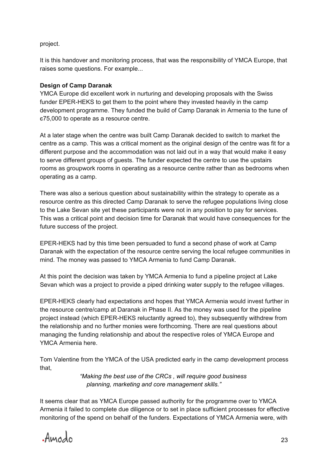project.

It is this handover and monitoring process, that was the responsibility of YMCA Europe, that raises some questions. For example...

#### **Design of Camp Daranak**

YMCA Europe did excellent work in nurturing and developing proposals with the Swiss funder EPER-HEKS to get them to the point where they invested heavily in the camp development programme. They funded the build of Camp Daranak in Armenia to the tune of є75,000 to operate as a resource centre.

At a later stage when the centre was built Camp Daranak decided to switch to market the centre as a camp. This was a critical moment as the original design of the centre was fit for a different purpose and the accommodation was not laid out in a way that would make it easy to serve different groups of guests. The funder expected the centre to use the upstairs rooms as groupwork rooms in operating as a resource centre rather than as bedrooms when operating as a camp.

There was also a serious question about sustainability within the strategy to operate as a resource centre as this directed Camp Daranak to serve the refugee populations living close to the Lake Sevan site yet these participants were not in any position to pay for services. This was a critical point and decision time for Daranak that would have consequences for the future success of the project.

EPER-HEKS had by this time been persuaded to fund a second phase of work at Camp Daranak with the expectation of the resource centre serving the local refugee communities in mind. The money was passed to YMCA Armenia to fund Camp Daranak.

At this point the decision was taken by YMCA Armenia to fund a pipeline project at Lake Sevan which was a project to provide a piped drinking water supply to the refugee villages.

EPER-HEKS clearly had expectations and hopes that YMCA Armenia would invest further in the resource centre/camp at Daranak in Phase II. As the money was used for the pipeline project instead (which EPER-HEKS reluctantly agreed to), they subsequently withdrew from the relationship and no further monies were forthcoming. There are real questions about managing the funding relationship and about the respective roles of YMCA Europe and YMCA Armenia here.

Tom Valentine from the YMCA of the USA predicted early in the camp development process that,

> *"Making the best use of the CRCs , will require good business planning, marketing and core management skills."*

It seems clear that as YMCA Europe passed authority for the programme over to YMCA Armenia it failed to complete due diligence or to set in place sufficient processes for effective monitoring of the spend on behalf of the funders. Expectations of YMCA Armenia were, with

Amodo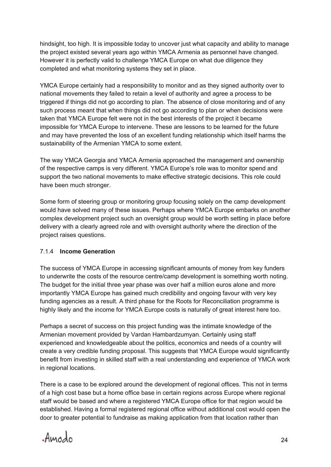hindsight, too high. It is impossible today to uncover just what capacity and ability to manage the project existed several years ago within YMCA Armenia as personnel have changed. However it is perfectly valid to challenge YMCA Europe on what due diligence they completed and what monitoring systems they set in place.

YMCA Europe certainly had a responsibility to monitor and as they signed authority over to national movements they failed to retain a level of authority and agree a process to be triggered if things did not go according to plan. The absence of close monitoring and of any such process meant that when things did not go according to plan or when decisions were taken that YMCA Europe felt were not in the best interests of the project it became impossible for YMCA Europe to intervene. These are lessons to be learned for the future and may have prevented the loss of an excellent funding relationship which itself harms the sustainability of the Armenian YMCA to some extent.

The way YMCA Georgia and YMCA Armenia approached the management and ownership of the respective camps is very different. YMCA Europe's role was to monitor spend and support the two national movements to make effective strategic decisions. This role could have been much stronger.

Some form of steering group or monitoring group focusing solely on the camp development would have solved many of these issues. Perhaps where YMCA Europe embarks on another complex development project such an oversight group would be worth setting in place before delivery with a clearly agreed role and with oversight authority where the direction of the project raises questions.

#### 7.1.4 **Income Generation**

The success of YMCA Europe in accessing significant amounts of money from key funders to underwrite the costs of the resource centre/camp development is something worth noting. The budget for the initial three year phase was over half a million euros alone and more importantly YMCA Europe has gained much credibility and ongoing favour with very key funding agencies as a result. A third phase for the Roots for Reconciliation programme is highly likely and the income for YMCA Europe costs is naturally of great interest here too.

Perhaps a secret of success on this project funding was the intimate knowledge of the Armenian movement provided by Vardan Hambardzumyan. Certainly using staff experienced and knowledgeable about the politics, economics and needs of a country will create a very credible funding proposal. This suggests that YMCA Europe would significantly benefit from investing in skilled staff with a real understanding and experience of YMCA work in regional locations.

There is a case to be explored around the development of regional offices. This not in terms of a high cost base but a home office base in certain regions across Europe where regional staff would be based and where a registered YMCA Europe office for that region would be established. Having a formal registered regional office without additional cost would open the door to greater potential to fundraise as making application from that location rather than

Amodo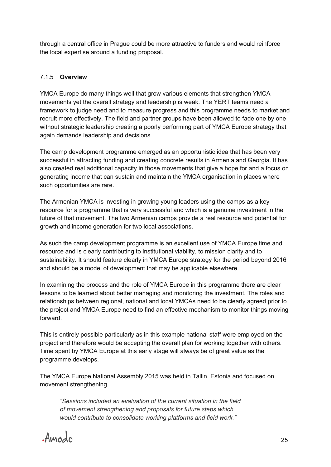through a central office in Prague could be more attractive to funders and would reinforce the local expertise around a funding proposal.

#### 7.1.5 **Overview**

YMCA Europe do many things well that grow various elements that strengthen YMCA movements yet the overall strategy and leadership is weak. The YERT teams need a framework to judge need and to measure progress and this programme needs to market and recruit more effectively. The field and partner groups have been allowed to fade one by one without strategic leadership creating a poorly performing part of YMCA Europe strategy that again demands leadership and decisions.

The camp development programme emerged as an opportunistic idea that has been very successful in attracting funding and creating concrete results in Armenia and Georgia. It has also created real additional capacity in those movements that give a hope for and a focus on generating income that can sustain and maintain the YMCA organisation in places where such opportunities are rare.

The Armenian YMCA is investing in growing young leaders using the camps as a key resource for a programme that is very successful and which is a genuine investment in the future of that movement. The two Armenian camps provide a real resource and potential for growth and income generation for two local associations.

As such the camp development programme is an excellent use of YMCA Europe time and resource and is clearly contributing to institutional viability, to mission clarity and to sustainability. It should feature clearly in YMCA Europe strategy for the period beyond 2016 and should be a model of development that may be applicable elsewhere.

In examining the process and the role of YMCA Europe in this programme there are clear lessons to be learned about better managing and monitoring the investment. The roles and relationships between regional, national and local YMCAs need to be clearly agreed prior to the project and YMCA Europe need to find an effective mechanism to monitor things moving forward.

This is entirely possible particularly as in this example national staff were employed on the project and therefore would be accepting the overall plan for working together with others. Time spent by YMCA Europe at this early stage will always be of great value as the programme develops.

The YMCA Europe National Assembly 2015 was held in Tallin, Estonia and focused on movement strengthening.

*"Sessions included an evaluation of the current situation in the field of movement strengthening and proposals for future steps which would contribute to consolidate working platforms and field work."*

Amodo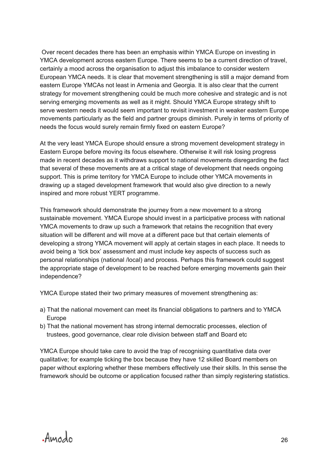Over recent decades there has been an emphasis within YMCA Europe on investing in YMCA development across eastern Europe. There seems to be a current direction of travel, certainly a mood across the organisation to adjust this imbalance to consider western European YMCA needs. It is clear that movement strengthening is still a major demand from eastern Europe YMCAs not least in Armenia and Georgia. It is also clear that the current strategy for movement strengthening could be much more cohesive and strategic and is not serving emerging movements as well as it might. Should YMCA Europe strategy shift to serve western needs it would seem important to revisit investment in weaker eastern Europe movements particularly as the field and partner groups diminish. Purely in terms of priority of needs the focus would surely remain firmly fixed on eastern Europe?

At the very least YMCA Europe should ensure a strong movement development strategy in Eastern Europe before moving its focus elsewhere. Otherwise it will risk losing progress made in recent decades as it withdraws support to national movements disregarding the fact that several of these movements are at a critical stage of development that needs ongoing support. This is prime territory for YMCA Europe to include other YMCA movements in drawing up a staged development framework that would also give direction to a newly inspired and more robust YERT programme.

This framework should demonstrate the journey from a new movement to a strong sustainable movement. YMCA Europe should invest in a participative process with national YMCA movements to draw up such a framework that retains the recognition that every situation will be different and will move at a different pace but that certain elements of developing a strong YMCA movement will apply at certain stages in each place. It needs to avoid being a 'tick box' assessment and must include key aspects of success such as personal relationships (national /local) and process. Perhaps this framework could suggest the appropriate stage of development to be reached before emerging movements gain their independence?

YMCA Europe stated their two primary measures of movement strengthening as:

- a) That the national movement can meet its financial obligations to partners and to YMCA Europe
- b) That the national movement has strong internal democratic processes, election of trustees, good governance, clear role division between staff and Board etc

YMCA Europe should take care to avoid the trap of recognising quantitative data over qualitative; for example ticking the box because they have 12 skilled Board members on paper without exploring whether these members effectively use their skills. In this sense the framework should be outcome or application focused rather than simply registering statistics.

Amodo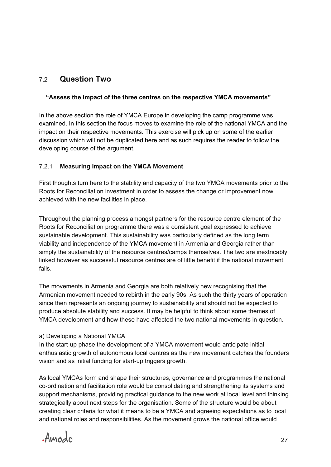## 7.2 **Question Two**

#### **"Assess the impact of the three centres on the respective YMCA movements"**

In the above section the role of YMCA Europe in developing the camp programme was examined. In this section the focus moves to examine the role of the national YMCA and the impact on their respective movements. This exercise will pick up on some of the earlier discussion which will not be duplicated here and as such requires the reader to follow the developing course of the argument.

#### 7.2.1 **Measuring Impact on the YMCA Movement**

First thoughts turn here to the stability and capacity of the two YMCA movements prior to the Roots for Reconciliation investment in order to assess the change or improvement now achieved with the new facilities in place.

Throughout the planning process amongst partners for the resource centre element of the Roots for Reconciliation programme there was a consistent goal expressed to achieve sustainable development. This sustainability was particularly defined as the long term viability and independence of the YMCA movement in Armenia and Georgia rather than simply the sustainability of the resource centres/camps themselves. The two are inextricably linked however as successful resource centres are of little benefit if the national movement fails.

The movements in Armenia and Georgia are both relatively new recognising that the Armenian movement needed to rebirth in the early 90s. As such the thirty years of operation since then represents an ongoing journey to sustainability and should not be expected to produce absolute stability and success. It may be helpful to think about some themes of YMCA development and how these have affected the two national movements in question.

#### a) Developing a National YMCA

In the start-up phase the development of a YMCA movement would anticipate initial enthusiastic growth of autonomous local centres as the new movement catches the founders vision and as initial funding for start-up triggers growth.

As local YMCAs form and shape their structures, governance and programmes the national co-ordination and facilitation role would be consolidating and strengthening its systems and support mechanisms, providing practical guidance to the new work at local level and thinking strategically about next steps for the organisation. Some of the structure would be about creating clear criteria for what it means to be a YMCA and agreeing expectations as to local and national roles and responsibilities. As the movement grows the national office would

Amodo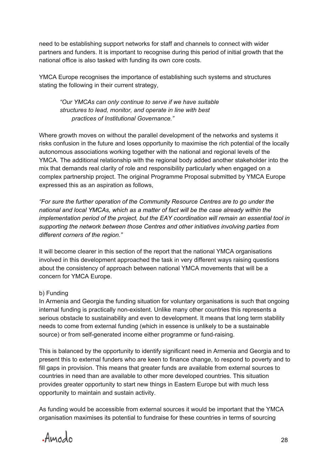need to be establishing support networks for staff and channels to connect with wider partners and funders. It is important to recognise during this period of initial growth that the national office is also tasked with funding its own core costs.

YMCA Europe recognises the importance of establishing such systems and structures stating the following in their current strategy,

*"Our YMCAs can only continue to serve if we have suitable structures to lead, monitor, and operate in line with best practices of Institutional Governance."*

Where growth moves on without the parallel development of the networks and systems it risks confusion in the future and loses opportunity to maximise the rich potential of the locally autonomous associations working together with the national and regional levels of the YMCA. The additional relationship with the regional body added another stakeholder into the mix that demands real clarity of role and responsibility particularly when engaged on a complex partnership project. The original Programme Proposal submitted by YMCA Europe expressed this as an aspiration as follows,

*"For sure the further operation of the Community Resource Centres are to go under the national and local YMCAs, which as a matter of fact will be the case already within the implementation period of the project, but the EAY coordination will remain an essential tool in supporting the network between those Centres and other initiatives involving parties from different corners of the region."*

It will become clearer in this section of the report that the national YMCA organisations involved in this development approached the task in very different ways raising questions about the consistency of approach between national YMCA movements that will be a concern for YMCA Europe.

#### b) Funding

In Armenia and Georgia the funding situation for voluntary organisations is such that ongoing internal funding is practically non-existent. Unlike many other countries this represents a serious obstacle to sustainability and even to development. It means that long term stability needs to come from external funding (which in essence is unlikely to be a sustainable source) or from self-generated income either programme or fund-raising.

This is balanced by the opportunity to identify significant need in Armenia and Georgia and to present this to external funders who are keen to finance change, to respond to poverty and to fill gaps in provision. This means that greater funds are available from external sources to countries in need than are available to other more developed countries. This situation provides greater opportunity to start new things in Eastern Europe but with much less opportunity to maintain and sustain activity.

As funding would be accessible from external sources it would be important that the YMCA organisation maximises its potential to fundraise for these countries in terms of sourcing

Amodo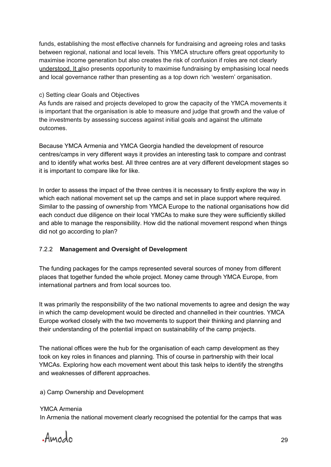funds, establishing the most effective channels for fundraising and agreeing roles and tasks between regional, national and local levels. This YMCA structure offers great opportunity to maximise income generation but also creates the risk of confusion if roles are not clearly understood. It also presents opportunity to maximise fundraising by emphasising local needs and local governance rather than presenting as a top down rich 'western' organisation.

#### c) Setting clear Goals and Objectives

As funds are raised and projects developed to grow the capacity of the YMCA movements it is important that the organisation is able to measure and judge that growth and the value of the investments by assessing success against initial goals and against the ultimate outcomes.

Because YMCA Armenia and YMCA Georgia handled the development of resource centres/camps in very different ways it provides an interesting task to compare and contrast and to identify what works best. All three centres are at very different development stages so it is important to compare like for like.

In order to assess the impact of the three centres it is necessary to firstly explore the way in which each national movement set up the camps and set in place support where required. Similar to the passing of ownership from YMCA Europe to the national organisations how did each conduct due diligence on their local YMCAs to make sure they were sufficiently skilled and able to manage the responsibility. How did the national movement respond when things did not go according to plan?

#### 7.2.2 **Management and Oversight of Development**

The funding packages for the camps represented several sources of money from different places that together funded the whole project. Money came through YMCA Europe, from international partners and from local sources too.

It was primarily the responsibility of the two national movements to agree and design the way in which the camp development would be directed and channelled in their countries. YMCA Europe worked closely with the two movements to support their thinking and planning and their understanding of the potential impact on sustainability of the camp projects.

The national offices were the hub for the organisation of each camp development as they took on key roles in finances and planning. This of course in partnership with their local YMCAs. Exploring how each movement went about this task helps to identify the strengths and weaknesses of different approaches.

a) Camp Ownership and Development

YMCA Armenia In Armenia the national movement clearly recognised the potential for the camps that was

Amodo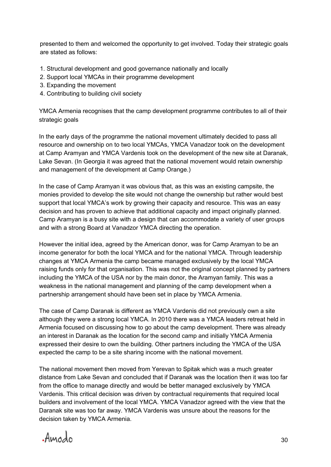presented to them and welcomed the opportunity to get involved. Today their strategic goals are stated as follows:

- 1. Structural development and good governance nationally and locally
- 2. Support local YMCAs in their programme development
- 3. Expanding the movement
- 4. Contributing to building civil society

YMCA Armenia recognises that the camp development programme contributes to all of their strategic goals

In the early days of the programme the national movement ultimately decided to pass all resource and ownership on to two local YMCAs, YMCA Vanadzor took on the development at Camp Aramyan and YMCA Vardenis took on the development of the new site at Daranak, Lake Sevan. (In Georgia it was agreed that the national movement would retain ownership and management of the development at Camp Orange.)

In the case of Camp Aramyan it was obvious that, as this was an existing campsite, the monies provided to develop the site would not change the ownership but rather would best support that local YMCA's work by growing their capacity and resource. This was an easy decision and has proven to achieve that additional capacity and impact originally planned. Camp Aramyan is a busy site with a design that can accommodate a variety of user groups and with a strong Board at Vanadzor YMCA directing the operation.

However the initial idea, agreed by the American donor, was for Camp Aramyan to be an income generator for both the local YMCA and for the national YMCA. Through leadership changes at YMCA Armenia the camp became managed exclusively by the local YMCA raising funds only for that organisation. This was not the original concept planned by partners including the YMCA of the USA nor by the main donor, the Aramyan family. This was a weakness in the national management and planning of the camp development when a partnership arrangement should have been set in place by YMCA Armenia.

The case of Camp Daranak is different as YMCA Vardenis did not previously own a site although they were a strong local YMCA. In 2010 there was a YMCA leaders retreat held in Armenia focused on discussing how to go about the camp development. There was already an interest in Daranak as the location for the second camp and initially YMCA Armenia expressed their desire to own the building. Other partners including the YMCA of the USA expected the camp to be a site sharing income with the national movement.

The national movement then moved from Yerevan to Spitak which was a much greater distance from Lake Sevan and concluded that if Daranak was the location then it was too far from the office to manage directly and would be better managed exclusively by YMCA Vardenis. This critical decision was driven by contractual requirements that required local builders and involvement of the local YMCA. YMCA Vanadzor agreed with the view that the Daranak site was too far away. YMCA Vardenis was unsure about the reasons for the decision taken by YMCA Armenia.

Amodo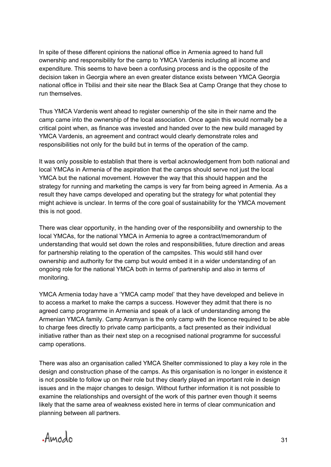In spite of these different opinions the national office in Armenia agreed to hand full ownership and responsibility for the camp to YMCA Vardenis including all income and expenditure. This seems to have been a confusing process and is the opposite of the decision taken in Georgia where an even greater distance exists between YMCA Georgia national office in Tbilisi and their site near the Black Sea at Camp Orange that they chose to run themselves.

Thus YMCA Vardenis went ahead to register ownership of the site in their name and the camp came into the ownership of the local association. Once again this would normally be a critical point when, as finance was invested and handed over to the new build managed by YMCA Vardenis, an agreement and contract would clearly demonstrate roles and responsibilities not only for the build but in terms of the operation of the camp.

It was only possible to establish that there is verbal acknowledgement from both national and local YMCAs in Armenia of the aspiration that the camps should serve not just the local YMCA but the national movement. However the way that this should happen and the strategy for running and marketing the camps is very far from being agreed in Armenia. As a result they have camps developed and operating but the strategy for what potential they might achieve is unclear. In terms of the core goal of sustainability for the YMCA movement this is not good.

There was clear opportunity, in the handing over of the responsibility and ownership to the local YMCAs, for the national YMCA in Armenia to agree a contract/memorandum of understanding that would set down the roles and responsibilities, future direction and areas for partnership relating to the operation of the campsites. This would still hand over ownership and authority for the camp but would embed it in a wider understanding of an ongoing role for the national YMCA both in terms of partnership and also in terms of monitoring.

YMCA Armenia today have a 'YMCA camp model' that they have developed and believe in to access a market to make the camps a success. However they admit that there is no agreed camp programme in Armenia and speak of a lack of understanding among the Armenian YMCA family. Camp Aramyan is the only camp with the licence required to be able to charge fees directly to private camp participants, a fact presented as their individual initiative rather than as their next step on a recognised national programme for successful camp operations.

There was also an organisation called YMCA Shelter commissioned to play a key role in the design and construction phase of the camps. As this organisation is no longer in existence it is not possible to follow up on their role but they clearly played an important role in design issues and in the major changes to design. Without further information it is not possible to examine the relationships and oversight of the work of this partner even though it seems likely that the same area of weakness existed here in terms of clear communication and planning between all partners.

Amodo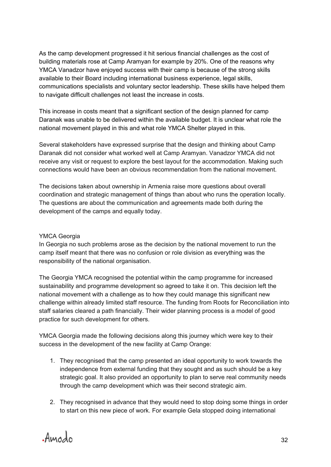As the camp development progressed it hit serious financial challenges as the cost of building materials rose at Camp Aramyan for example by 20%. One of the reasons why YMCA Vanadzor have enjoyed success with their camp is because of the strong skills available to their Board including international business experience, legal skills, communications specialists and voluntary sector leadership. These skills have helped them to navigate difficult challenges not least the increase in costs.

This increase in costs meant that a significant section of the design planned for camp Daranak was unable to be delivered within the available budget. It is unclear what role the national movement played in this and what role YMCA Shelter played in this.

Several stakeholders have expressed surprise that the design and thinking about Camp Daranak did not consider what worked well at Camp Aramyan. Vanadzor YMCA did not receive any visit or request to explore the best layout for the accommodation. Making such connections would have been an obvious recommendation from the national movement.

The decisions taken about ownership in Armenia raise more questions about overall coordination and strategic management of things than about who runs the operation locally. The questions are about the communication and agreements made both during the development of the camps and equally today.

#### YMCA Georgia

In Georgia no such problems arose as the decision by the national movement to run the camp itself meant that there was no confusion or role division as everything was the responsibility of the national organisation.

The Georgia YMCA recognised the potential within the camp programme for increased sustainability and programme development so agreed to take it on. This decision left the national movement with a challenge as to how they could manage this significant new challenge within already limited staff resource. The funding from Roots for Reconciliation into staff salaries cleared a path financially. Their wider planning process is a model of good practice for such development for others.

YMCA Georgia made the following decisions along this journey which were key to their success in the development of the new facility at Camp Orange:

- 1. They recognised that the camp presented an ideal opportunity to work towards the independence from external funding that they sought and as such should be a key strategic goal. It also provided an opportunity to plan to serve real community needs through the camp development which was their second strategic aim.
- 2. They recognised in advance that they would need to stop doing some things in order to start on this new piece of work. For example Gela stopped doing international

Amodo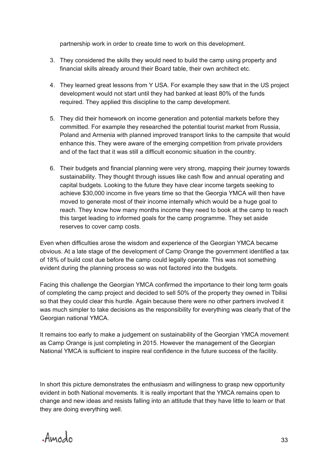partnership work in order to create time to work on this development.

- 3. They considered the skills they would need to build the camp using property and financial skills already around their Board table, their own architect etc.
- 4. They learned great lessons from Y USA. For example they saw that in the US project development would not start until they had banked at least 80% of the funds required. They applied this discipline to the camp development.
- 5. They did their homework on income generation and potential markets before they committed. For example they researched the potential tourist market from Russia, Poland and Armenia with planned improved transport links to the campsite that would enhance this. They were aware of the emerging competition from private providers and of the fact that it was still a difficult economic situation in the country.
- 6. Their budgets and financial planning were very strong, mapping their journey towards sustainability. They thought through issues like cash flow and annual operating and capital budgets. Looking to the future they have clear income targets seeking to achieve \$30,000 income in five years time so that the Georgia YMCA will then have moved to generate most of their income internally which would be a huge goal to reach. They know how many months income they need to book at the camp to reach this target leading to informed goals for the camp programme. They set aside reserves to cover camp costs.

Even when difficulties arose the wisdom and experience of the Georgian YMCA became obvious. At a late stage of the development of Camp Orange the government identified a tax of 18% of build cost due before the camp could legally operate. This was not something evident during the planning process so was not factored into the budgets.

Facing this challenge the Georgian YMCA confirmed the importance to their long term goals of completing the camp project and decided to sell 50% of the property they owned in Tbilisi so that they could clear this hurdle. Again because there were no other partners involved it was much simpler to take decisions as the responsibility for everything was clearly that of the Georgian national YMCA.

It remains too early to make a judgement on sustainability of the Georgian YMCA movement as Camp Orange is just completing in 2015. However the management of the Georgian National YMCA is sufficient to inspire real confidence in the future success of the facility.

In short this picture demonstrates the enthusiasm and willingness to grasp new opportunity evident in both National movements. It is really important that the YMCA remains open to change and new ideas and resists falling into an attitude that they have little to learn or that they are doing everything well.

Amodo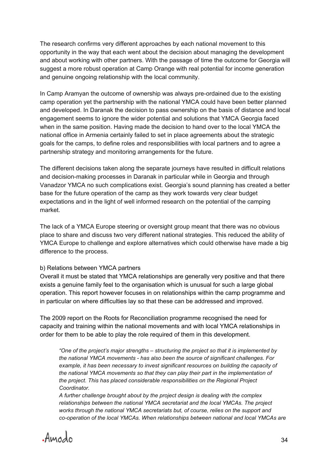The research confirms very different approaches by each national movement to this opportunity in the way that each went about the decision about managing the development and about working with other partners. With the passage of time the outcome for Georgia will suggest a more robust operation at Camp Orange with real potential for income generation and genuine ongoing relationship with the local community.

In Camp Aramyan the outcome of ownership was always pre-ordained due to the existing camp operation yet the partnership with the national YMCA could have been better planned and developed. In Daranak the decision to pass ownership on the basis of distance and local engagement seems to ignore the wider potential and solutions that YMCA Georgia faced when in the same position. Having made the decision to hand over to the local YMCA the national office in Armenia certainly failed to set in place agreements about the strategic goals for the camps, to define roles and responsibilities with local partners and to agree a partnership strategy and monitoring arrangements for the future.

The different decisions taken along the separate journeys have resulted in difficult relations and decision-making processes in Daranak in particular while in Georgia and through Vanadzor YMCA no such complications exist. Georgia's sound planning has created a better base for the future operation of the camp as they work towards very clear budget expectations and in the light of well informed research on the potential of the camping market.

The lack of a YMCA Europe steering or oversight group meant that there was no obvious place to share and discuss two very different national strategies. This reduced the ability of YMCA Europe to challenge and explore alternatives which could otherwise have made a big difference to the process.

#### b) Relations between YMCA partners

Overall it must be stated that YMCA relationships are generally very positive and that there exists a genuine family feel to the organisation which is unusual for such a large global operation. This report however focuses in on relationships within the camp programme and in particular on where difficulties lay so that these can be addressed and improved.

The 2009 report on the Roots for Reconciliation programme recognised the need for capacity and training within the national movements and with local YMCA relationships in order for them to be able to play the role required of them in this development.

*"One of the project's major strengths – structuring the project so that it is implemented by the national YMCA movements - has also been the source of significant challenges. For example, it has been necessary to invest significant resources on building the capacity of the national YMCA movements so that they can play their part in the implementation of the project. This has placed considerable responsibilities on the Regional Project Coordinator.*

*A further challenge brought about by the project design is dealing with the complex relationships between the national YMCA secretariat and the local YMCAs. The project works through the national YMCA secretariats but, of course, relies on the support and co-operation of the local YMCAs. When relationships between national and local YMCAs are* 

Amodo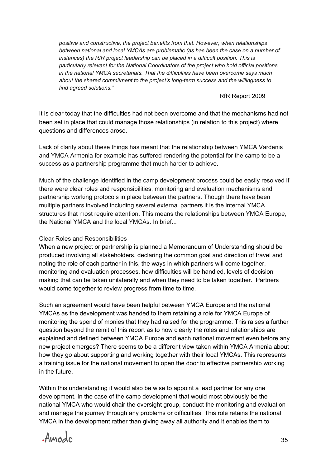*positive and constructive, the project benefits from that. However, when relationships between national and local YMCAs are problematic (as has been the case on a number of instances) the RfR project leadership can be placed in a difficult position. This is particularly relevant for the National Coordinators of the project who hold official positions in the national YMCA secretariats. That the difficulties have been overcome says much about the shared commitment to the project's long-term success and the willingness to find agreed solutions."*

#### RfR Report 2009

It is clear today that the difficulties had not been overcome and that the mechanisms had not been set in place that could manage those relationships (in relation to this project) where questions and differences arose.

Lack of clarity about these things has meant that the relationship between YMCA Vardenis and YMCA Armenia for example has suffered rendering the potential for the camp to be a success as a partnership programme that much harder to achieve.

Much of the challenge identified in the camp development process could be easily resolved if there were clear roles and responsibilities, monitoring and evaluation mechanisms and partnership working protocols in place between the partners. Though there have been multiple partners involved including several external partners it is the internal YMCA structures that most require attention. This means the relationships between YMCA Europe, the National YMCA and the local YMCAs. In brief...

#### Clear Roles and Responsibilities

When a new project or partnership is planned a Memorandum of Understanding should be produced involving all stakeholders, declaring the common goal and direction of travel and noting the role of each partner in this, the ways in which partners will come together, monitoring and evaluation processes, how difficulties will be handled, levels of decision making that can be taken unilaterally and when they need to be taken together. Partners would come together to review progress from time to time.

Such an agreement would have been helpful between YMCA Europe and the national YMCAs as the development was handed to them retaining a role for YMCA Europe of monitoring the spend of monies that they had raised for the programme. This raises a further question beyond the remit of this report as to how clearly the roles and relationships are explained and defined between YMCA Europe and each national movement even before any new project emerges? There seems to be a different view taken within YMCA Armenia about how they go about supporting and working together with their local YMCAs. This represents a training issue for the national movement to open the door to effective partnership working in the future.

Within this understanding it would also be wise to appoint a lead partner for any one development. In the case of the camp development that would most obviously be the national YMCA who would chair the oversight group, conduct the monitoring and evaluation and manage the journey through any problems or difficulties. This role retains the national YMCA in the development rather than giving away all authority and it enables them to

Amodo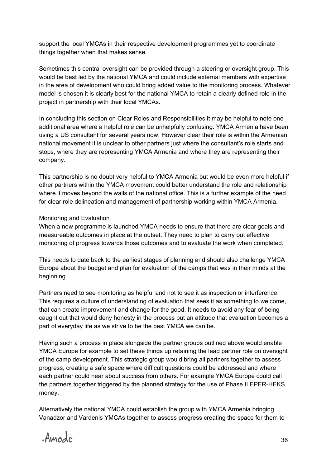support the local YMCAs in their respective development programmes yet to coordinate things together when that makes sense.

Sometimes this central oversight can be provided through a steering or oversight group. This would be best led by the national YMCA and could include external members with expertise in the area of development who could bring added value to the monitoring process. Whatever model is chosen it is clearly best for the national YMCA to retain a clearly defined role in the project in partnership with their local YMCAs.

In concluding this section on Clear Roles and Responsibilities it may be helpful to note one additional area where a helpful role can be unhelpfully confusing. YMCA Armenia have been using a US consultant for several years now. However clear their role is within the Armenian national movement it is unclear to other partners just where the consultant's role starts and stops, where they are representing YMCA Armenia and where they are representing their company.

This partnership is no doubt very helpful to YMCA Armenia but would be even more helpful if other partners within the YMCA movement could better understand the role and relationship where it moves beyond the walls of the national office. This is a further example of the need for clear role delineation and management of partnership working within YMCA Armenia.

#### Monitoring and Evaluation

When a new programme is launched YMCA needs to ensure that there are clear goals and measureable outcomes in place at the outset. They need to plan to carry out effective monitoring of progress towards those outcomes and to evaluate the work when completed.

This needs to date back to the earliest stages of planning and should also challenge YMCA Europe about the budget and plan for evaluation of the camps that was in their minds at the beginning.

Partners need to see monitoring as helpful and not to see it as inspection or interference. This requires a culture of understanding of evaluation that sees it as something to welcome, that can create improvement and change for the good. It needs to avoid any fear of being caught out that would deny honesty in the process but an attitude that evaluation becomes a part of everyday life as we strive to be the best YMCA we can be.

Having such a process in place alongside the partner groups outlined above would enable YMCA Europe for example to set these things up retaining the lead partner role on oversight of the camp development. This strategic group would bring all partners together to assess progress, creating a safe space where difficult questions could be addressed and where each partner could hear about success from others. For example YMCA Europe could call the partners together triggered by the planned strategy for the use of Phase II EPER-HEKS money.

Alternatively the national YMCA could establish the group with YMCA Armenia bringing Vanadzor and Vardenis YMCAs together to assess progress creating the space for them to

Amodo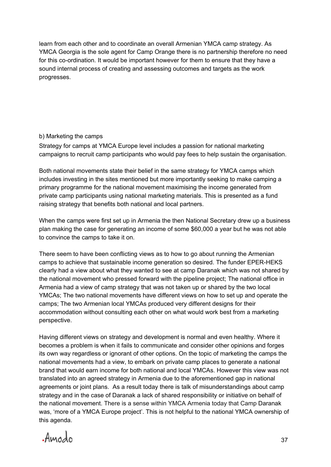learn from each other and to coordinate an overall Armenian YMCA camp strategy. As YMCA Georgia is the sole agent for Camp Orange there is no partnership therefore no need for this co-ordination. It would be important however for them to ensure that they have a sound internal process of creating and assessing outcomes and targets as the work progresses.

#### b) Marketing the camps

Strategy for camps at YMCA Europe level includes a passion for national marketing campaigns to recruit camp participants who would pay fees to help sustain the organisation.

Both national movements state their belief in the same strategy for YMCA camps which includes investing in the sites mentioned but more importantly seeking to make camping a primary programme for the national movement maximising the income generated from private camp participants using national marketing materials. This is presented as a fund raising strategy that benefits both national and local partners.

When the camps were first set up in Armenia the then National Secretary drew up a business plan making the case for generating an income of some \$60,000 a year but he was not able to convince the camps to take it on.

There seem to have been conflicting views as to how to go about running the Armenian camps to achieve that sustainable income generation so desired. The funder EPERHEKS clearly had a view about what they wanted to see at camp Daranak which was not shared by the national movement who pressed forward with the pipeline project; The national office in Armenia had a view of camp strategy that was not taken up or shared by the two local YMCAs; The two national movements have different views on how to set up and operate the camps; The two Armenian local YMCAs produced very different designs for their accommodation without consulting each other on what would work best from a marketing perspective.

Having different views on strategy and development is normal and even healthy. Where it becomes a problem is when it fails to communicate and consider other opinions and forges its own way regardless or ignorant of other options. On the topic of marketing the camps the national movements had a view, to embark on private camp places to generate a national brand that would earn income for both national and local YMCAs. However this view was not translated into an agreed strategy in Armenia due to the aforementioned gap in national agreements or joint plans. As a result today there is talk of misunderstandings about camp strategy and in the case of Daranak a lack of shared responsibility or initiative on behalf of the national movement. There is a sense within YMCA Armenia today that Camp Daranak was, 'more of a YMCA Europe project'. This is not helpful to the national YMCA ownership of this agenda.

Amodo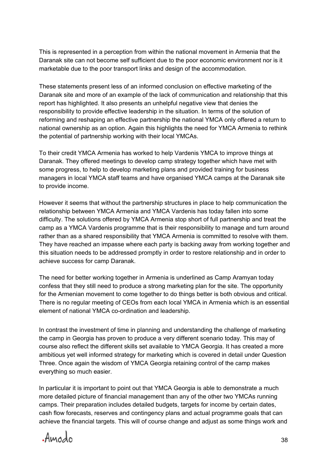This is represented in a perception from within the national movement in Armenia that the Daranak site can not become self sufficient due to the poor economic environment nor is it marketable due to the poor transport links and design of the accommodation.

These statements present less of an informed conclusion on effective marketing of the Daranak site and more of an example of the lack of communication and relationship that this report has highlighted. It also presents an unhelpful negative view that denies the responsibility to provide effective leadership in the situation. In terms of the solution of reforming and reshaping an effective partnership the national YMCA only offered a return to national ownership as an option. Again this highlights the need for YMCA Armenia to rethink the potential of partnership working with their local YMCAs.

To their credit YMCA Armenia has worked to help Vardenis YMCA to improve things at Daranak. They offered meetings to develop camp strategy together which have met with some progress, to help to develop marketing plans and provided training for business managers in local YMCA staff teams and have organised YMCA camps at the Daranak site to provide income.

However it seems that without the partnership structures in place to help communication the relationship between YMCA Armenia and YMCA Vardenis has today fallen into some difficulty. The solutions offered by YMCA Armenia stop short of full partnership and treat the camp as a YMCA Vardenis programme that is their responsibility to manage and turn around rather than as a shared responsibility that YMCA Armenia is committed to resolve with them. They have reached an impasse where each party is backing away from working together and this situation needs to be addressed promptly in order to restore relationship and in order to achieve success for camp Daranak.

The need for better working together in Armenia is underlined as Camp Aramyan today confess that they still need to produce a strong marketing plan for the site. The opportunity for the Armenian movement to come together to do things better is both obvious and critical. There is no regular meeting of CEOs from each local YMCA in Armenia which is an essential element of national YMCA co-ordination and leadership.

In contrast the investment of time in planning and understanding the challenge of marketing the camp in Georgia has proven to produce a very different scenario today. This may of course also reflect the different skills set available to YMCA Georgia. It has created a more ambitious yet well informed strategy for marketing which is covered in detail under Question Three. Once again the wisdom of YMCA Georgia retaining control of the camp makes everything so much easier.

In particular it is important to point out that YMCA Georgia is able to demonstrate a much more detailed picture of financial management than any of the other two YMCAs running camps. Their preparation includes detailed budgets, targets for income by certain dates, cash flow forecasts, reserves and contingency plans and actual programme goals that can achieve the financial targets. This will of course change and adjust as some things work and

Amodo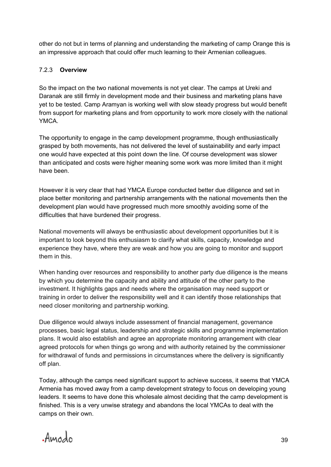other do not but in terms of planning and understanding the marketing of camp Orange this is an impressive approach that could offer much learning to their Armenian colleagues.

#### 7.2.3 **Overview**

So the impact on the two national movements is not yet clear. The camps at Ureki and Daranak are still firmly in development mode and their business and marketing plans have yet to be tested. Camp Aramyan is working well with slow steady progress but would benefit from support for marketing plans and from opportunity to work more closely with the national YMCA.

The opportunity to engage in the camp development programme, though enthusiastically grasped by both movements, has not delivered the level of sustainability and early impact one would have expected at this point down the line. Of course development was slower than anticipated and costs were higher meaning some work was more limited than it might have been.

However it is very clear that had YMCA Europe conducted better due diligence and set in place better monitoring and partnership arrangements with the national movements then the development plan would have progressed much more smoothly avoiding some of the difficulties that have burdened their progress.

National movements will always be enthusiastic about development opportunities but it is important to look beyond this enthusiasm to clarify what skills, capacity, knowledge and experience they have, where they are weak and how you are going to monitor and support them in this.

When handing over resources and responsibility to another party due diligence is the means by which you determine the capacity and ability and attitude of the other party to the investment. It highlights gaps and needs where the organisation may need support or training in order to deliver the responsibility well and it can identify those relationships that need closer monitoring and partnership working.

Due diligence would always include assessment of financial management, governance processes, basic legal status, leadership and strategic skills and programme implementation plans. It would also establish and agree an appropriate monitoring arrangement with clear agreed protocols for when things go wrong and with authority retained by the commissioner for withdrawal of funds and permissions in circumstances where the delivery is significantly off plan.

Today, although the camps need significant support to achieve success, it seems that YMCA Armenia has moved away from a camp development strategy to focus on developing young leaders. It seems to have done this wholesale almost deciding that the camp development is finished. This is a very unwise strategy and abandons the local YMCAs to deal with the camps on their own.

Amodo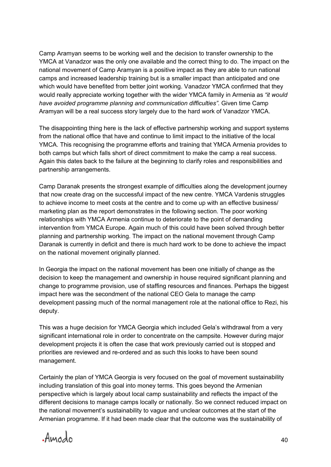Camp Aramyan seems to be working well and the decision to transfer ownership to the YMCA at Vanadzor was the only one available and the correct thing to do. The impact on the national movement of Camp Aramyan is a positive impact as they are able to run national camps and increased leadership training but is a smaller impact than anticipated and one which would have benefited from better joint working. Vanadzor YMCA confirmed that they would really appreciate working together with the wider YMCA family in Armenia as *"it would have avoided programme planning and communication difficulties".* Given time Camp Aramyan will be a real success story largely due to the hard work of Vanadzor YMCA.

The disappointing thing here is the lack of effective partnership working and support systems from the national office that have and continue to limit impact to the initiative of the local YMCA. This recognising the programme efforts and training that YMCA Armenia provides to both camps but which falls short of direct commitment to make the camp a real success. Again this dates back to the failure at the beginning to clarify roles and responsibilities and partnership arrangements.

Camp Daranak presents the strongest example of difficulties along the development journey that now create drag on the successful impact of the new centre. YMCA Vardenis struggles to achieve income to meet costs at the centre and to come up with an effective business/ marketing plan as the report demonstrates in the following section. The poor working relationships with YMCA Armenia continue to deteriorate to the point of demanding intervention from YMCA Europe. Again much of this could have been solved through better planning and partnership working. The impact on the national movement through Camp Daranak is currently in deficit and there is much hard work to be done to achieve the impact on the national movement originally planned.

In Georgia the impact on the national movement has been one initially of change as the decision to keep the management and ownership in house required significant planning and change to programme provision, use of staffing resources and finances. Perhaps the biggest impact here was the secondment of the national CEO Gela to manage the camp development passing much of the normal management role at the national office to Rezi, his deputy.

This was a huge decision for YMCA Georgia which included Gela's withdrawal from a very significant international role in order to concentrate on the campsite. However during major development projects it is often the case that work previously carried out is stopped and priorities are reviewed and re-ordered and as such this looks to have been sound management.

Certainly the plan of YMCA Georgia is very focused on the goal of movement sustainability including translation of this goal into money terms. This goes beyond the Armenian perspective which is largely about local camp sustainability and reflects the impact of the different decisions to manage camps locally or nationally. So we connect reduced impact on the national movement's sustainability to vague and unclear outcomes at the start of the Armenian programme. If it had been made clear that the outcome was the sustainability of

Amodo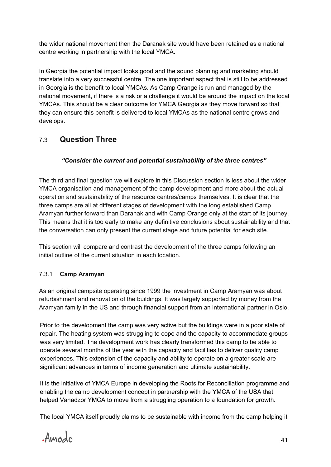the wider national movement then the Daranak site would have been retained as a national centre working in partnership with the local YMCA.

In Georgia the potential impact looks good and the sound planning and marketing should translate into a very successful centre. The one important aspect that is still to be addressed in Georgia is the benefit to local YMCAs. As Camp Orange is run and managed by the national movement, if there is a risk or a challenge it would be around the impact on the local YMCAs. This should be a clear outcome for YMCA Georgia as they move forward so that they can ensure this benefit is delivered to local YMCAs as the national centre grows and develops.

## 7.3 **Question Three**

#### *"Consider the current and potential sustainability of the three centres"*

The third and final question we will explore in this Discussion section is less about the wider YMCA organisation and management of the camp development and more about the actual operation and sustainability of the resource centres/camps themselves. It is clear that the three camps are all at different stages of development with the long established Camp Aramyan further forward than Daranak and with Camp Orange only at the start of its journey. This means that it is too early to make any definitive conclusions about sustainability and that the conversation can only present the current stage and future potential for each site.

This section will compare and contrast the development of the three camps following an initial outline of the current situation in each location.

## 7.3.1 **Camp Aramyan**

As an original campsite operating since 1999 the investment in Camp Aramyan was about refurbishment and renovation of the buildings. It was largely supported by money from the Aramyan family in the US and through financial support from an international partner in Oslo.

Prior to the development the camp was very active but the buildings were in a poor state of repair. The heating system was struggling to cope and the capacity to accommodate groups was very limited. The development work has clearly transformed this camp to be able to operate several months of the year with the capacity and facilities to deliver quality camp experiences. This extension of the capacity and ability to operate on a greater scale are significant advances in terms of income generation and ultimate sustainability.

It is the initiative of YMCA Europe in developing the Roots for Reconciliation programme and enabling the camp development concept in partnership with the YMCA of the USA that helped Vanadzor YMCA to move from a struggling operation to a foundation for growth.

The local YMCA itself proudly claims to be sustainable with income from the camp helping it

. Amodo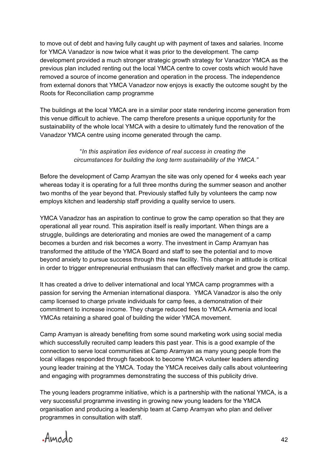to move out of debt and having fully caught up with payment of taxes and salaries. Income for YMCA Vanadzor is now twice what it was prior to the development. The camp development provided a much stronger strategic growth strategy for Vanadzor YMCA as the previous plan included renting out the local YMCA centre to cover costs which would have removed a source of income generation and operation in the process. The independence from external donors that YMCA Vanadzor now enjoys is exactly the outcome sought by the Roots for Reconciliation camp programme

The buildings at the local YMCA are in a similar poor state rendering income generation from this venue difficult to achieve. The camp therefore presents a unique opportunity for the sustainability of the whole local YMCA with a desire to ultimately fund the renovation of the Vanadzor YMCA centre using income generated through the camp.

#### "*In this aspiration lies evidence of real success in creating the circumstances for building the long term sustainability of the YMCA."*

Before the development of Camp Aramyan the site was only opened for 4 weeks each year whereas today it is operating for a full three months during the summer season and another two months of the year beyond that. Previously staffed fully by volunteers the camp now employs kitchen and leadership staff providing a quality service to users.

YMCA Vanadzor has an aspiration to continue to grow the camp operation so that they are operational all year round. This aspiration itself is really important. When things are a struggle, buildings are deteriorating and monies are owed the management of a camp becomes a burden and risk becomes a worry. The investment in Camp Aramyan has transformed the attitude of the YMCA Board and staff to see the potential and to move beyond anxiety to pursue success through this new facility. This change in attitude is critical in order to trigger entrepreneurial enthusiasm that can effectively market and grow the camp.

It has created a drive to deliver international and local YMCA camp programmes with a passion for serving the Armenian international diaspora. YMCA Vanadzor is also the only camp licensed to charge private individuals for camp fees, a demonstration of their commitment to increase income. They charge reduced fees to YMCA Armenia and local YMCAs retaining a shared goal of building the wider YMCA movement.

Camp Aramyan is already benefiting from some sound marketing work using social media which successfully recruited camp leaders this past year. This is a good example of the connection to serve local communities at Camp Aramyan as many young people from the local villages responded through facebook to become YMCA volunteer leaders attending young leader training at the YMCA. Today the YMCA receives daily calls about volunteering and engaging with programmes demonstrating the success of this publicity drive.

The young leaders programme initiative, which is a partnership with the national YMCA, is a very successful programme investing in growing new young leaders for the YMCA organisation and producing a leadership team at Camp Aramyan who plan and deliver programmes in consultation with staff.

Amodo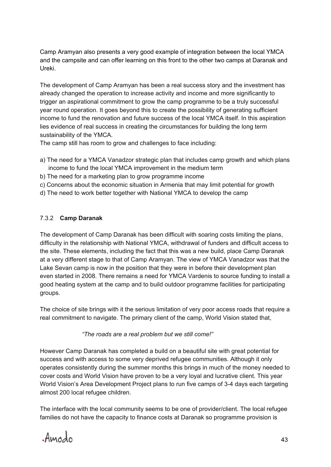Camp Aramyan also presents a very good example of integration between the local YMCA and the campsite and can offer learning on this front to the other two camps at Daranak and Ureki.

The development of Camp Aramyan has been a real success story and the investment has already changed the operation to increase activity and income and more significantly to trigger an aspirational commitment to grow the camp programme to be a truly successful year round operation. It goes beyond this to create the possibility of generating sufficient income to fund the renovation and future success of the local YMCA itself. In this aspiration lies evidence of real success in creating the circumstances for building the long term sustainability of the YMCA.

The camp still has room to grow and challenges to face including:

- a) The need for a YMCA Vanadzor strategic plan that includes camp growth and which plans income to fund the local YMCA improvement in the medium term
- b) The need for a marketing plan to grow programme income
- c) Concerns about the economic situation in Armenia that may limit potential for growth
- d) The need to work better together with National YMCA to develop the camp

#### 7.3.2 **Camp Daranak**

The development of Camp Daranak has been difficult with soaring costs limiting the plans, difficulty in the relationship with National YMCA, withdrawal of funders and difficult access to the site. These elements, including the fact that this was a new build, place Camp Daranak at a very different stage to that of Camp Aramyan. The view of YMCA Vanadzor was that the Lake Sevan camp is now in the position that they were in before their development plan even started in 2008. There remains a need for YMCA Vardenis to source funding to install a good heating system at the camp and to build outdoor programme facilities for participating groups.

The choice of site brings with it the serious limitation of very poor access roads that require a real commitment to navigate. The primary client of the camp, World Vision stated that,

#### *"The roads are a real problem but we still come!"*

However Camp Daranak has completed a build on a beautiful site with great potential for success and with access to some very deprived refugee communities. Although it only operates consistently during the summer months this brings in much of the money needed to cover costs and World Vision have proven to be a very loyal and lucrative client. This year World Vision's Area Development Project plans to run five camps of 34 days each targeting almost 200 local refugee children.

The interface with the local community seems to be one of provider/client. The local refugee families do not have the capacity to finance costs at Daranak so programme provision is

Amodo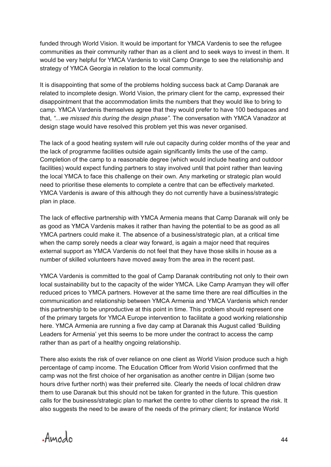funded through World Vision. It would be important for YMCA Vardenis to see the refugee communities as their community rather than as a client and to seek ways to invest in them. It would be very helpful for YMCA Vardenis to visit Camp Orange to see the relationship and strategy of YMCA Georgia in relation to the local community.

It is disappointing that some of the problems holding success back at Camp Daranak are related to incomplete design. World Vision, the primary client for the camp, expressed their disappointment that the accommodation limits the numbers that they would like to bring to camp. YMCA Vardenis themselves agree that they would prefer to have 100 bedspaces and that, *"...we missed this during the design phase"*. The conversation with YMCA Vanadzor at design stage would have resolved this problem yet this was never organised.

The lack of a good heating system will rule out capacity during colder months of the year and the lack of programme facilities outside again significantly limits the use of the camp. Completion of the camp to a reasonable degree (which would include heating and outdoor facilities) would expect funding partners to stay involved until that point rather than leaving the local YMCA to face this challenge on their own. Any marketing or strategic plan would need to prioritise these elements to complete a centre that can be effectively marketed. YMCA Vardenis is aware of this although they do not currently have a business/strategic plan in place.

The lack of effective partnership with YMCA Armenia means that Camp Daranak will only be as good as YMCA Vardenis makes it rather than having the potential to be as good as all YMCA partners could make it. The absence of a business/strategic plan, at a critical time when the camp sorely needs a clear way forward, is again a major need that requires external support as YMCA Vardenis do not feel that they have those skills in house as a number of skilled volunteers have moved away from the area in the recent past.

YMCA Vardenis is committed to the goal of Camp Daranak contributing not only to their own local sustainability but to the capacity of the wider YMCA. Like Camp Aramyan they will offer reduced prices to YMCA partners. However at the same time there are real difficulties in the communication and relationship between YMCA Armenia and YMCA Vardenis which render this partnership to be unproductive at this point in time. This problem should represent one of the primary targets for YMCA Europe intervention to facilitate a good working relationship here. YMCA Armenia are running a five day camp at Daranak this August called 'Building Leaders for Armenia' yet this seems to be more under the contract to access the camp rather than as part of a healthy ongoing relationship.

There also exists the risk of over reliance on one client as World Vision produce such a high percentage of camp income. The Education Officer from World Vision confirmed that the camp was not the first choice of her organisation as another centre in Dilijan (some two hours drive further north) was their preferred site. Clearly the needs of local children draw them to use Daranak but this should not be taken for granted in the future. This question calls for the business/strategic plan to market the centre to other clients to spread the risk. It also suggests the need to be aware of the needs of the primary client; for instance World

Amodo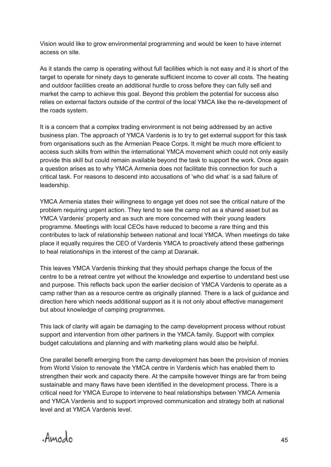Vision would like to grow environmental programming and would be keen to have internet access on site.

As it stands the camp is operating without full facilities which is not easy and it is short of the target to operate for ninety days to generate sufficient income to cover all costs. The heating and outdoor facilities create an additional hurdle to cross before they can fully sell and market the camp to achieve this goal. Beyond this problem the potential for success also relies on external factors outside of the control of the local YMCA like the re-development of the roads system.

It is a concern that a complex trading environment is not being addressed by an active business plan. The approach of YMCA Vardenis is to try to get external support for this task from organisations such as the Armenian Peace Corps. It might be much more efficient to access such skills from within the international YMCA movement which could not only easily provide this skill but could remain available beyond the task to support the work. Once again a question arises as to why YMCA Armenia does not facilitate this connection for such a critical task. For reasons to descend into accusations of 'who did what' is a sad failure of leadership.

YMCA Armenia states their willingness to engage yet does not see the critical nature of the problem requiring urgent action. They tend to see the camp not as a shared asset but as YMCA Vardenis' property and as such are more concerned with their young leaders programme. Meetings with local CEOs have reduced to become a rare thing and this contributes to lack of relationship between national and local YMCA. When meetings do take place it equally requires the CEO of Vardenis YMCA to proactively attend these gatherings to heal relationships in the interest of the camp at Daranak.

This leaves YMCA Vardenis thinking that they should perhaps change the focus of the centre to be a retreat centre yet without the knowledge and expertise to understand best use and purpose. This reflects back upon the earlier decision of YMCA Vardenis to operate as a camp rather than as a resource centre as originally planned. There is a lack of guidance and direction here which needs additional support as it is not only about effective management but about knowledge of camping programmes.

This lack of clarity will again be damaging to the camp development process without robust support and intervention from other partners in the YMCA family. Support with complex budget calculations and planning and with marketing plans would also be helpful.

One parallel benefit emerging from the camp development has been the provision of monies from World Vision to renovate the YMCA centre in Vardenis which has enabled them to strengthen their work and capacity there. At the campsite however things are far from being sustainable and many flaws have been identified in the development process. There is a critical need for YMCA Europe to intervene to heal relationships between YMCA Armenia and YMCA Vardenis and to support improved communication and strategy both at national level and at YMCA Vardenis level.

Amodo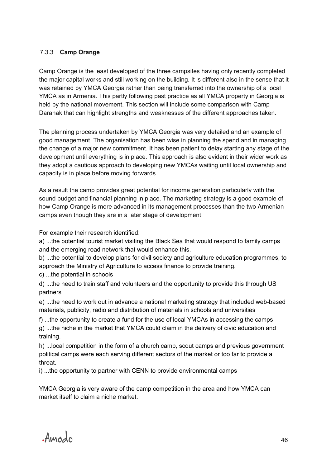#### 7.3.3 **Camp Orange**

Camp Orange is the least developed of the three campsites having only recently completed the major capital works and still working on the building. It is different also in the sense that it was retained by YMCA Georgia rather than being transferred into the ownership of a local YMCA as in Armenia. This partly following past practice as all YMCA property in Georgia is held by the national movement. This section will include some comparison with Camp Daranak that can highlight strengths and weaknesses of the different approaches taken.

The planning process undertaken by YMCA Georgia was very detailed and an example of good management. The organisation has been wise in planning the spend and in managing the change of a major new commitment. It has been patient to delay starting any stage of the development until everything is in place. This approach is also evident in their wider work as they adopt a cautious approach to developing new YMCAs waiting until local ownership and capacity is in place before moving forwards.

As a result the camp provides great potential for income generation particularly with the sound budget and financial planning in place. The marketing strategy is a good example of how Camp Orange is more advanced in its management processes than the two Armenian camps even though they are in a later stage of development.

For example their research identified:

a) ...the potential tourist market visiting the Black Sea that would respond to family camps and the emerging road network that would enhance this.

b) ...the potential to develop plans for civil society and agriculture education programmes, to approach the Ministry of Agriculture to access finance to provide training.

c) ...the potential in schools

d) ...the need to train staff and volunteers and the opportunity to provide this through US partners

e) ...the need to work out in advance a national marketing strategy that included web-based materials, publicity, radio and distribution of materials in schools and universities

f) ...the opportunity to create a fund for the use of local YMCAs in accessing the camps g) ...the niche in the market that YMCA could claim in the delivery of civic education and training.

h) ...local competition in the form of a church camp, scout camps and previous government political camps were each serving different sectors of the market or too far to provide a threat.

i) ...the opportunity to partner with CENN to provide environmental camps

YMCA Georgia is very aware of the camp competition in the area and how YMCA can market itself to claim a niche market.

Amodo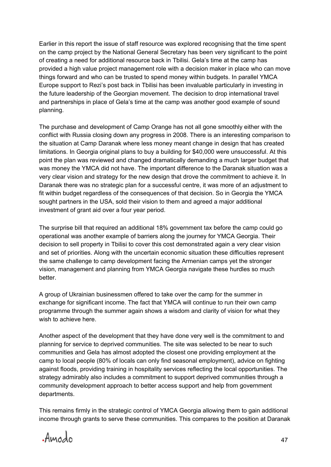Earlier in this report the issue of staff resource was explored recognising that the time spent on the camp project by the National General Secretary has been very significant to the point of creating a need for additional resource back in Tbilisi. Gela's time at the camp has provided a high value project management role with a decision maker in place who can move things forward and who can be trusted to spend money within budgets. In parallel YMCA Europe support to Rezi's post back in Tbilisi has been invaluable particularly in investing in the future leadership of the Georgian movement. The decision to drop international travel and partnerships in place of Gela's time at the camp was another good example of sound planning.

The purchase and development of Camp Orange has not all gone smoothly either with the conflict with Russia closing down any progress in 2008. There is an interesting comparison to the situation at Camp Daranak where less money meant change in design that has created limitations. In Georgia original plans to buy a building for \$40,000 were unsuccessful. At this point the plan was reviewed and changed dramatically demanding a much larger budget that was money the YMCA did not have. The important difference to the Daranak situation was a very clear vision and strategy for the new design that drove the commitment to achieve it. In Daranak there was no strategic plan for a successful centre, it was more of an adjustment to fit within budget regardless of the consequences of that decision. So in Georgia the YMCA sought partners in the USA, sold their vision to them and agreed a major additional investment of grant aid over a four year period.

The surprise bill that required an additional 18% government tax before the camp could go operational was another example of barriers along the journey for YMCA Georgia. Their decision to sell property in Tbilisi to cover this cost demonstrated again a very clear vision and set of priorities. Along with the uncertain economic situation these difficulties represent the same challenge to camp development facing the Armenian camps yet the stronger vision, management and planning from YMCA Georgia navigate these hurdles so much better.

A group of Ukrainian businessmen offered to take over the camp for the summer in exchange for significant income. The fact that YMCA will continue to run their own camp programme through the summer again shows a wisdom and clarity of vision for what they wish to achieve here.

Another aspect of the development that they have done very well is the commitment to and planning for service to deprived communities. The site was selected to be near to such communities and Gela has almost adopted the closest one providing employment at the camp to local people (80% of locals can only find seasonal employment), advice on fighting against floods, providing training in hospitality services reflecting the local opportunities. The strategy admirably also includes a commitment to support deprived communities through a community development approach to better access support and help from government departments.

This remains firmly in the strategic control of YMCA Georgia allowing them to gain additional income through grants to serve these communities. This compares to the position at Daranak

Amodo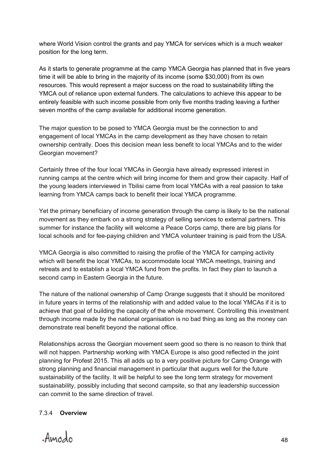where World Vision control the grants and pay YMCA for services which is a much weaker position for the long term.

As it starts to generate programme at the camp YMCA Georgia has planned that in five years time it will be able to bring in the majority of its income (some \$30,000) from its own resources. This would represent a major success on the road to sustainability lifting the YMCA out of reliance upon external funders. The calculations to achieve this appear to be entirely feasible with such income possible from only five months trading leaving a further seven months of the camp available for additional income generation.

The major question to be posed to YMCA Georgia must be the connection to and engagement of local YMCAs in the camp development as they have chosen to retain ownership centrally. Does this decision mean less benefit to local YMCAs and to the wider Georgian movement?

Certainly three of the four local YMCAs in Georgia have already expressed interest in running camps at the centre which will bring income for them and grow their capacity. Half of the young leaders interviewed in Tbilisi came from local YMCAs with a real passion to take learning from YMCA camps back to benefit their local YMCA programme.

Yet the primary beneficiary of income generation through the camp is likely to be the national movement as they embark on a strong strategy of selling services to external partners. This summer for instance the facility will welcome a Peace Corps camp, there are big plans for local schools and for fee-paying children and YMCA volunteer training is paid from the USA.

YMCA Georgia is also committed to raising the profile of the YMCA for camping activity which will benefit the local YMCAs, to accommodate local YMCA meetings, training and retreats and to establish a local YMCA fund from the profits. In fact they plan to launch a second camp in Eastern Georgia in the future.

The nature of the national ownership of Camp Orange suggests that it should be monitored in future years in terms of the relationship with and added value to the local YMCAs if it is to achieve that goal of building the capacity of the whole movement. Controlling this investment through income made by the national organisation is no bad thing as long as the money can demonstrate real benefit beyond the national office.

Relationships across the Georgian movement seem good so there is no reason to think that will not happen. Partnership working with YMCA Europe is also good reflected in the joint planning for Profest 2015. This all adds up to a very positive picture for Camp Orange with strong planning and financial management in particular that augurs well for the future sustainability of the facility. It will be helpful to see the long term strategy for movement sustainability, possibly including that second campsite, so that any leadership succession can commit to the same direction of travel.

#### 7.3.4 **Overview**

Amodo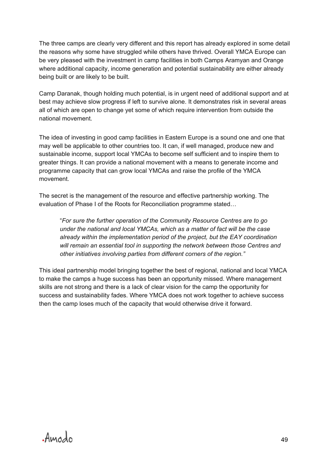The three camps are clearly very different and this report has already explored in some detail the reasons why some have struggled while others have thrived. Overall YMCA Europe can be very pleased with the investment in camp facilities in both Camps Aramyan and Orange where additional capacity, income generation and potential sustainability are either already being built or are likely to be built.

Camp Daranak, though holding much potential, is in urgent need of additional support and at best may achieve slow progress if left to survive alone. It demonstrates risk in several areas all of which are open to change yet some of which require intervention from outside the national movement.

The idea of investing in good camp facilities in Eastern Europe is a sound one and one that may well be applicable to other countries too. It can, if well managed, produce new and sustainable income, support local YMCAs to become self sufficient and to inspire them to greater things. It can provide a national movement with a means to generate income and programme capacity that can grow local YMCAs and raise the profile of the YMCA movement.

The secret is the management of the resource and effective partnership working. The evaluation of Phase I of the Roots for Reconciliation programme stated…

 "*For sure the further operation of the Community Resource Centres are to go under the national and local YMCAs, which as a matter of fact will be the case already within the implementation period of the project, but the EAY coordination will remain an essential tool in supporting the network between those Centres and other initiatives involving parties from different corners of the region."*

This ideal partnership model bringing together the best of regional, national and local YMCA to make the camps a huge success has been an opportunity missed. Where management skills are not strong and there is a lack of clear vision for the camp the opportunity for success and sustainability fades. Where YMCA does not work together to achieve success then the camp loses much of the capacity that would otherwise drive it forward.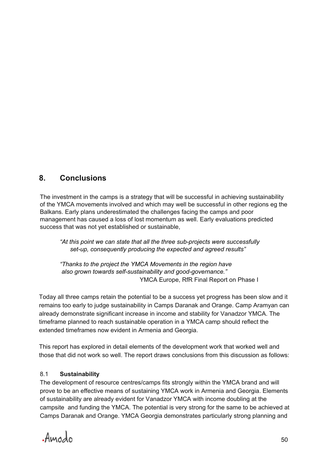## **8. Conclusions**

The investment in the camps is a strategy that will be successful in achieving sustainability of the YMCA movements involved and which may well be successful in other regions eg the Balkans. Early plans underestimated the challenges facing the camps and poor management has caused a loss of lost momentum as well. Early evaluations predicted success that was not yet established or sustainable,

*"At this point we can state that all the three sub-projects were successfully set-up, consequently producing the expected and agreed results"*

*"Thanks to the project the YMCA Movements in the region have also grown towards self-sustainability and good-governance."* YMCA Europe, RfR Final Report on Phase I

Today all three camps retain the potential to be a success yet progress has been slow and it remains too early to judge sustainability in Camps Daranak and Orange. Camp Aramyan can already demonstrate significant increase in income and stability for Vanadzor YMCA. The timeframe planned to reach sustainable operation in a YMCA camp should reflect the extended timeframes now evident in Armenia and Georgia.

This report has explored in detail elements of the development work that worked well and those that did not work so well. The report draws conclusions from this discussion as follows:

#### 8.1 **Sustainability**

The development of resource centres/camps fits strongly within the YMCA brand and will prove to be an effective means of sustaining YMCA work in Armenia and Georgia. Elements of sustainability are already evident for Vanadzor YMCA with income doubling at the campsite and funding the YMCA. The potential is very strong for the same to be achieved at Camps Daranak and Orange. YMCA Georgia demonstrates particularly strong planning and

Amodo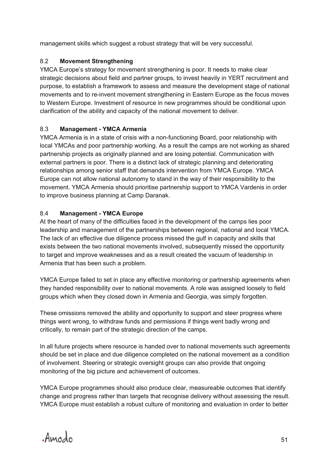management skills which suggest a robust strategy that will be very successful.

#### 8.2 **Movement Strengthening**

YMCA Europe's strategy for movement strengthening is poor. It needs to make clear strategic decisions about field and partner groups, to invest heavily in YERT recruitment and purpose, to establish a framework to assess and measure the development stage of national movements and to re-invent movement strengthening in Eastern Europe as the focus moves to Western Europe. Investment of resource in new programmes should be conditional upon clarification of the ability and capacity of the national movement to deliver.

#### 8.3 **Management - YMCA Armenia**

YMCA Armenia is in a state of crisis with a non-functioning Board, poor relationship with local YMCAs and poor partnership working. As a result the camps are not working as shared partnership projects as originally planned and are losing potential. Communication with external partners is poor. There is a distinct lack of strategic planning and deteriorating relationships among senior staff that demands intervention from YMCA Europe. YMCA Europe can not allow national autonomy to stand in the way of their responsibility to the movement. YMCA Armenia should prioritise partnership support to YMCA Vardenis in order to improve business planning at Camp Daranak.

#### 8.4 **Management - YMCA Europe**

At the heart of many of the difficulties faced in the development of the camps lies poor leadership and management of the partnerships between regional, national and local YMCA. The lack of an effective due diligence process missed the gulf in capacity and skills that exists between the two national movements involved, subsequently missed the opportunity to target and improve weaknesses and as a result created the vacuum of leadership in Armenia that has been such a problem.

YMCA Europe failed to set in place any effective monitoring or partnership agreements when they handed responsibility over to national movements. A role was assigned loosely to field groups which when they closed down in Armenia and Georgia, was simply forgotten.

These omissions removed the ability and opportunity to support and steer progress where things went wrong, to withdraw funds and permissions if things went badly wrong and critically, to remain part of the strategic direction of the camps.

In all future projects where resource is handed over to national movements such agreements should be set in place and due diligence completed on the national movement as a condition of involvement. Steering or strategic oversight groups can also provide that ongoing monitoring of the big picture and achievement of outcomes.

YMCA Europe programmes should also produce clear, measureable outcomes that identify change and progress rather than targets that recognise delivery without assessing the result. YMCA Europe must establish a robust culture of monitoring and evaluation in order to better

Amodo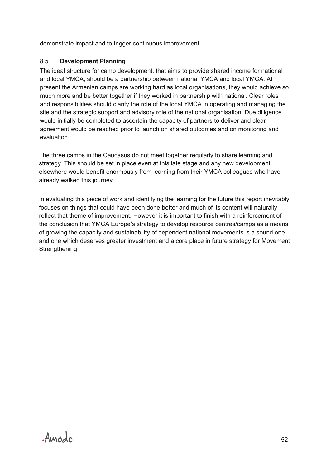demonstrate impact and to trigger continuous improvement.

#### 8.5 **Development Planning**

The ideal structure for camp development, that aims to provide shared income for national and local YMCA, should be a partnership between national YMCA and local YMCA. At present the Armenian camps are working hard as local organisations, they would achieve so much more and be better together if they worked in partnership with national. Clear roles and responsibilities should clarify the role of the local YMCA in operating and managing the site and the strategic support and advisory role of the national organisation. Due diligence would initially be completed to ascertain the capacity of partners to deliver and clear agreement would be reached prior to launch on shared outcomes and on monitoring and evaluation.

The three camps in the Caucasus do not meet together regularly to share learning and strategy. This should be set in place even at this late stage and any new development elsewhere would benefit enormously from learning from their YMCA colleagues who have already walked this journey.

In evaluating this piece of work and identifying the learning for the future this report inevitably focuses on things that could have been done better and much of its content will naturally reflect that theme of improvement. However it is important to finish with a reinforcement of the conclusion that YMCA Europe's strategy to develop resource centres/camps as a means of growing the capacity and sustainability of dependent national movements is a sound one and one which deserves greater investment and a core place in future strategy for Movement Strengthening.

Amodo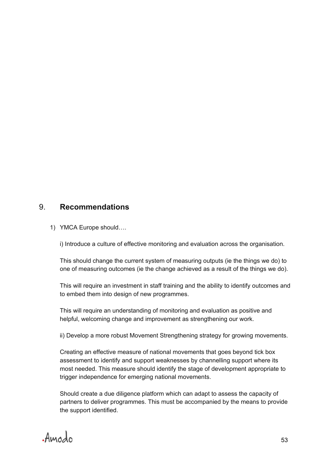## 9. **Recommendations**

1) YMCA Europe should….

i) Introduce a culture of effective monitoring and evaluation across the organisation.

This should change the current system of measuring outputs (ie the things we do) to one of measuring outcomes (ie the change achieved as a result of the things we do).

This will require an investment in staff training and the ability to identify outcomes and to embed them into design of new programmes.

This will require an understanding of monitoring and evaluation as positive and helpful, welcoming change and improvement as strengthening our work.

ii) Develop a more robust Movement Strengthening strategy for growing movements.

Creating an effective measure of national movements that goes beyond tick box assessment to identify and support weaknesses by channelling support where its most needed. This measure should identify the stage of development appropriate to trigger independence for emerging national movements.

Should create a due diligence platform which can adapt to assess the capacity of partners to deliver programmes. This must be accompanied by the means to provide the support identified.

Amodo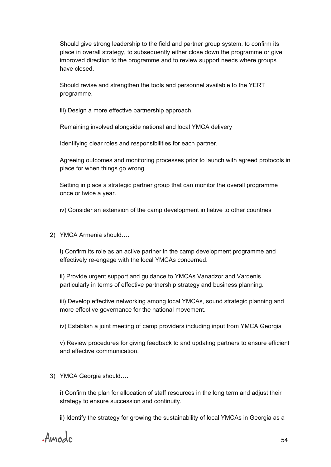Should give strong leadership to the field and partner group system, to confirm its place in overall strategy, to subsequently either close down the programme or give improved direction to the programme and to review support needs where groups have closed.

Should revise and strengthen the tools and personnel available to the YERT programme.

iii) Design a more effective partnership approach.

Remaining involved alongside national and local YMCA delivery

Identifying clear roles and responsibilities for each partner.

Agreeing outcomes and monitoring processes prior to launch with agreed protocols in place for when things go wrong.

Setting in place a strategic partner group that can monitor the overall programme once or twice a year.

iv) Consider an extension of the camp development initiative to other countries

2) YMCA Armenia should….

i) Confirm its role as an active partner in the camp development programme and effectively re-engage with the local YMCAs concerned.

ii) Provide urgent support and guidance to YMCAs Vanadzor and Vardenis particularly in terms of effective partnership strategy and business planning.

iii) Develop effective networking among local YMCAs, sound strategic planning and more effective governance for the national movement.

iv) Establish a joint meeting of camp providers including input from YMCA Georgia

v) Review procedures for giving feedback to and updating partners to ensure efficient and effective communication.

3) YMCA Georgia should….

i) Confirm the plan for allocation of staff resources in the long term and adjust their strategy to ensure succession and continuity.

ii) Identify the strategy for growing the sustainability of local YMCAs in Georgia as a

Amodo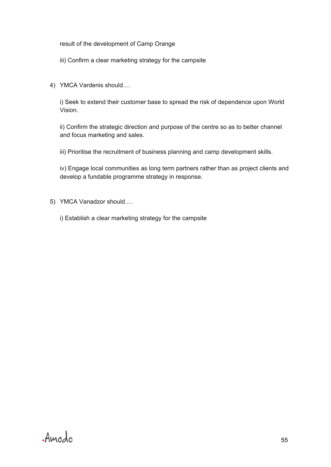result of the development of Camp Orange

- iii) Confirm a clear marketing strategy for the campsite
- 4) YMCA Vardenis should….

i) Seek to extend their customer base to spread the risk of dependence upon World Vision.

ii) Confirm the strategic direction and purpose of the centre so as to better channel and focus marketing and sales.

iii) Prioritise the recruitment of business planning and camp development skills.

iv) Engage local communities as long term partners rather than as project clients and develop a fundable programme strategy in response.

5) YMCA Vanadzor should….

i) Establish a clear marketing strategy for the campsite